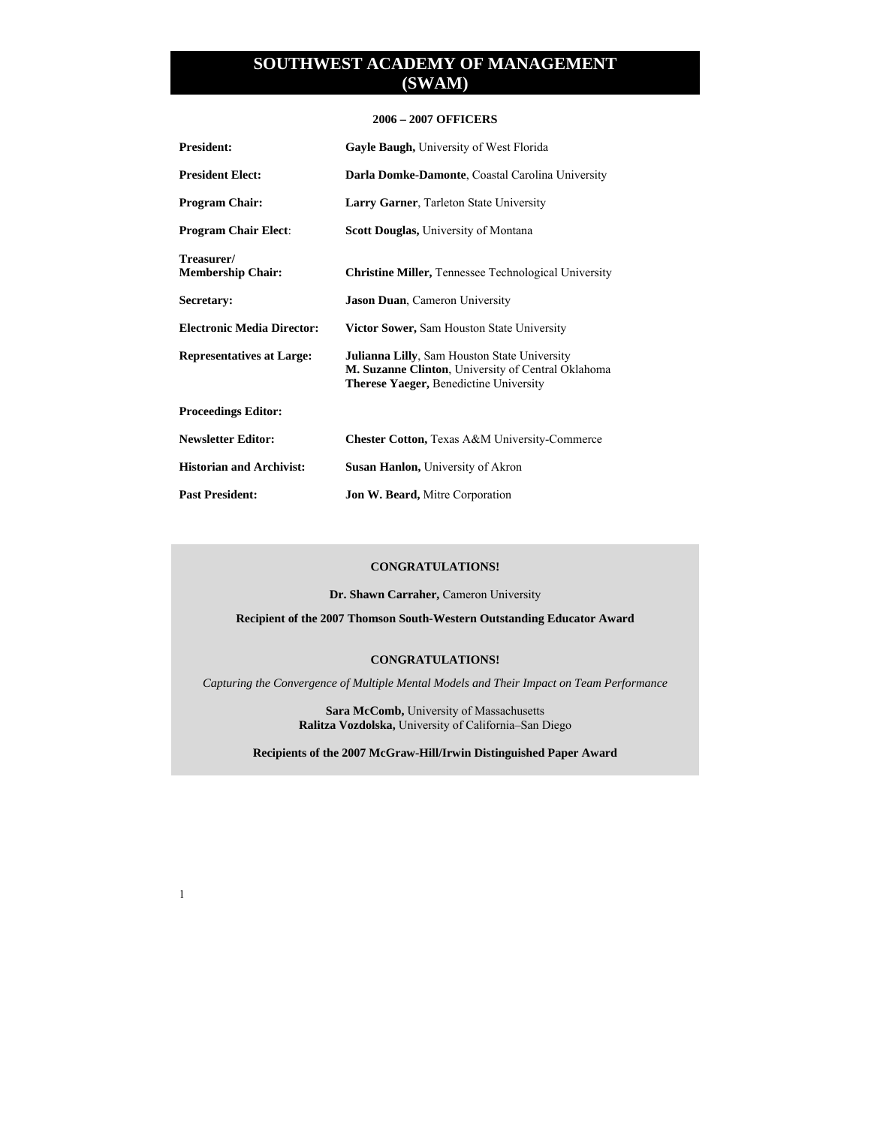### **2006 – 2007 OFFICERS**

| <b>President:</b>                      | Gayle Baugh, University of West Florida                                                                                                                    |
|----------------------------------------|------------------------------------------------------------------------------------------------------------------------------------------------------------|
| <b>President Elect:</b>                | Darla Domke-Damonte, Coastal Carolina University                                                                                                           |
| <b>Program Chair:</b>                  | Larry Garner, Tarleton State University                                                                                                                    |
| <b>Program Chair Elect:</b>            | Scott Douglas, University of Montana                                                                                                                       |
| Treasurer/<br><b>Membership Chair:</b> | <b>Christine Miller, Tennessee Technological University</b>                                                                                                |
| Secretary:                             | <b>Jason Duan, Cameron University</b>                                                                                                                      |
| <b>Electronic Media Director:</b>      | <b>Victor Sower, Sam Houston State University</b>                                                                                                          |
| <b>Representatives at Large:</b>       | <b>Julianna Lilly, Sam Houston State University</b><br>M. Suzanne Clinton, University of Central Oklahoma<br><b>Therese Yaeger, Benedictine University</b> |
| <b>Proceedings Editor:</b>             |                                                                                                                                                            |
| <b>Newsletter Editor:</b>              | <b>Chester Cotton, Texas A&amp;M University-Commerce</b>                                                                                                   |
| <b>Historian and Archivist:</b>        | <b>Susan Hanlon, University of Akron</b>                                                                                                                   |
| <b>Past President:</b>                 | <b>Jon W. Beard, Mitre Corporation</b>                                                                                                                     |

#### **CONGRATULATIONS!**

**Dr. Shawn Carraher,** Cameron University

**Recipient of the 2007 Thomson South-Western Outstanding Educator Award** 

### **CONGRATULATIONS!**

*Capturing the Convergence of Multiple Mental Models and Their Impact on Team Performance* 

**Sara McComb,** University of Massachusetts **Ralitza Vozdolska,** University of California–San Diego

**Recipients of the 2007 McGraw-Hill/Irwin Distinguished Paper Award**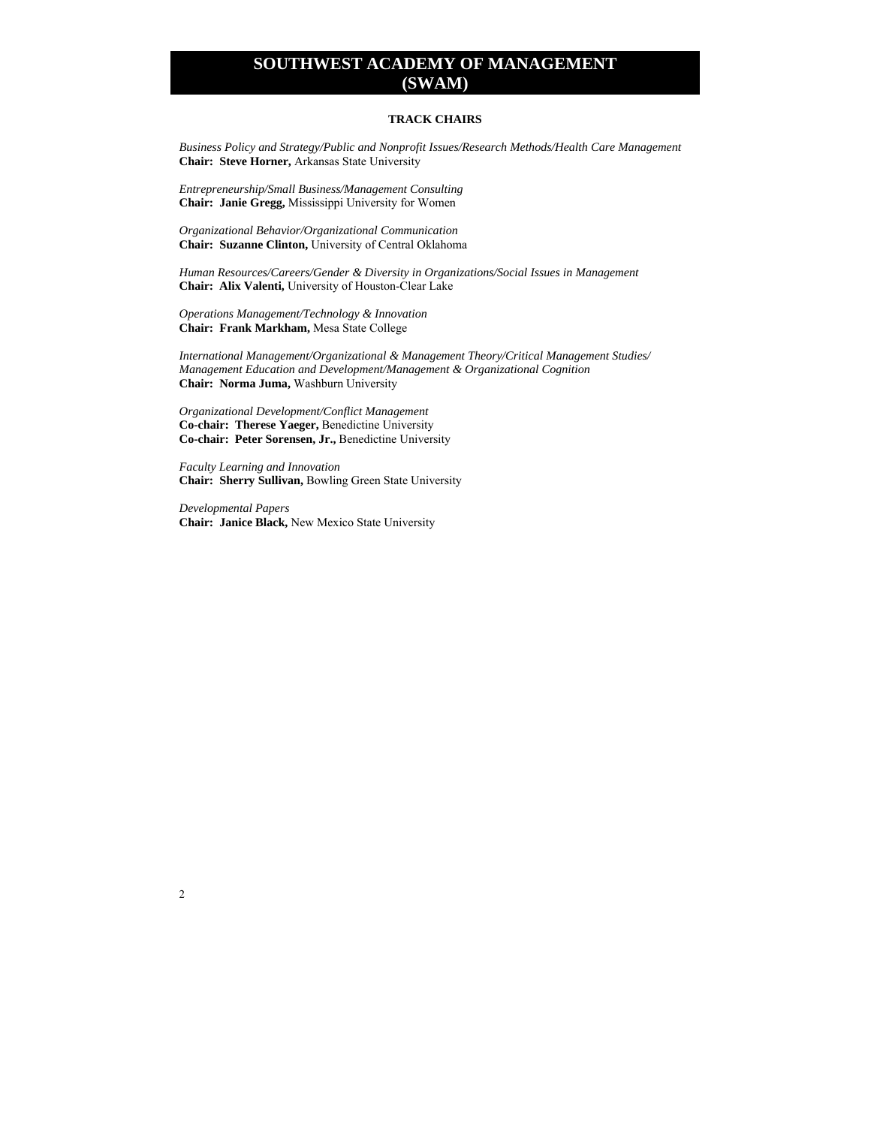#### **TRACK CHAIRS**

*Business Policy and Strategy/Public and Nonprofit Issues/Research Methods/Health Care Management* **Chair: Steve Horner,** Arkansas State University

*Entrepreneurship/Small Business/Management Consulting*  **Chair: Janie Gregg,** Mississippi University for Women

*Organizational Behavior/Organizational Communication*  **Chair: Suzanne Clinton,** University of Central Oklahoma

*Human Resources/Careers/Gender & Diversity in Organizations/Social Issues in Management*  **Chair: Alix Valenti,** University of Houston-Clear Lake

*Operations Management/Technology & Innovation*  **Chair: Frank Markham,** Mesa State College

*International Management/Organizational & Management Theory/Critical Management Studies/ Management Education and Development/Management & Organizational Cognition* **Chair: Norma Juma,** Washburn University

*Organizational Development/Conflict Management*  **Co-chair: Therese Yaeger,** Benedictine University **Co-chair: Peter Sorensen, Jr.,** Benedictine University

*Faculty Learning and Innovation*  **Chair: Sherry Sullivan,** Bowling Green State University

*Developmental Papers*  **Chair: Janice Black,** New Mexico State University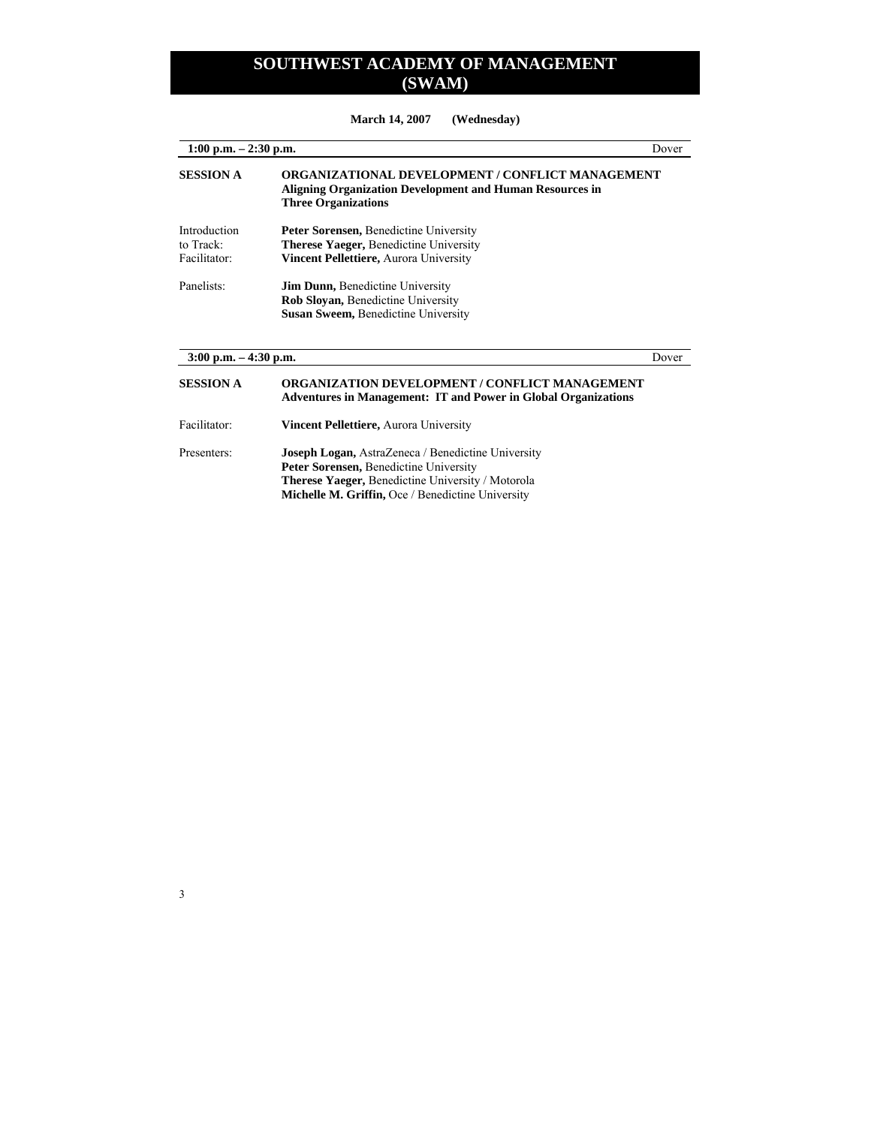**March 14, 2007 (Wednesday)** 

| $1:00$ p.m. $-2:30$ p.m.                  |                                                                                                                                            | Dover |
|-------------------------------------------|--------------------------------------------------------------------------------------------------------------------------------------------|-------|
| <b>SESSION A</b>                          | ORGANIZATIONAL DEVELOPMENT / CONFLICT MANAGEMENT<br>Aligning Organization Development and Human Resources in<br><b>Three Organizations</b> |       |
| Introduction<br>to Track:<br>Facilitator: | Peter Sorensen, Benedictine University<br><b>Therese Yaeger, Benedictine University</b><br>Vincent Pellettiere, Aurora University          |       |
| Panelists:                                | <b>Jim Dunn, Benedictine University</b><br><b>Rob Sloyan, Benedictine University</b><br><b>Susan Sweem, Benedictine University</b>         |       |
| $3:00$ p.m. $-4:30$ p.m.                  |                                                                                                                                            | Dover |
| <b>SESSION A</b>                          | <b>ORGANIZATION DEVELOPMENT / CONFLICT MANAGEMENT</b><br><b>Adventures in Management: IT and Power in Global Organizations</b>             |       |
| Facilitator:                              | <b>Vincent Pellettiere, Aurora University</b>                                                                                              |       |
| Presenters:                               | <b>Joseph Logan, AstraZeneca / Benedictine University</b><br><b>Peter Sorensen, Benedictine University</b>                                 |       |

 **Therese Yaeger,** Benedictine University / Motorola **Michelle M. Griffin, Oce / Benedictine University**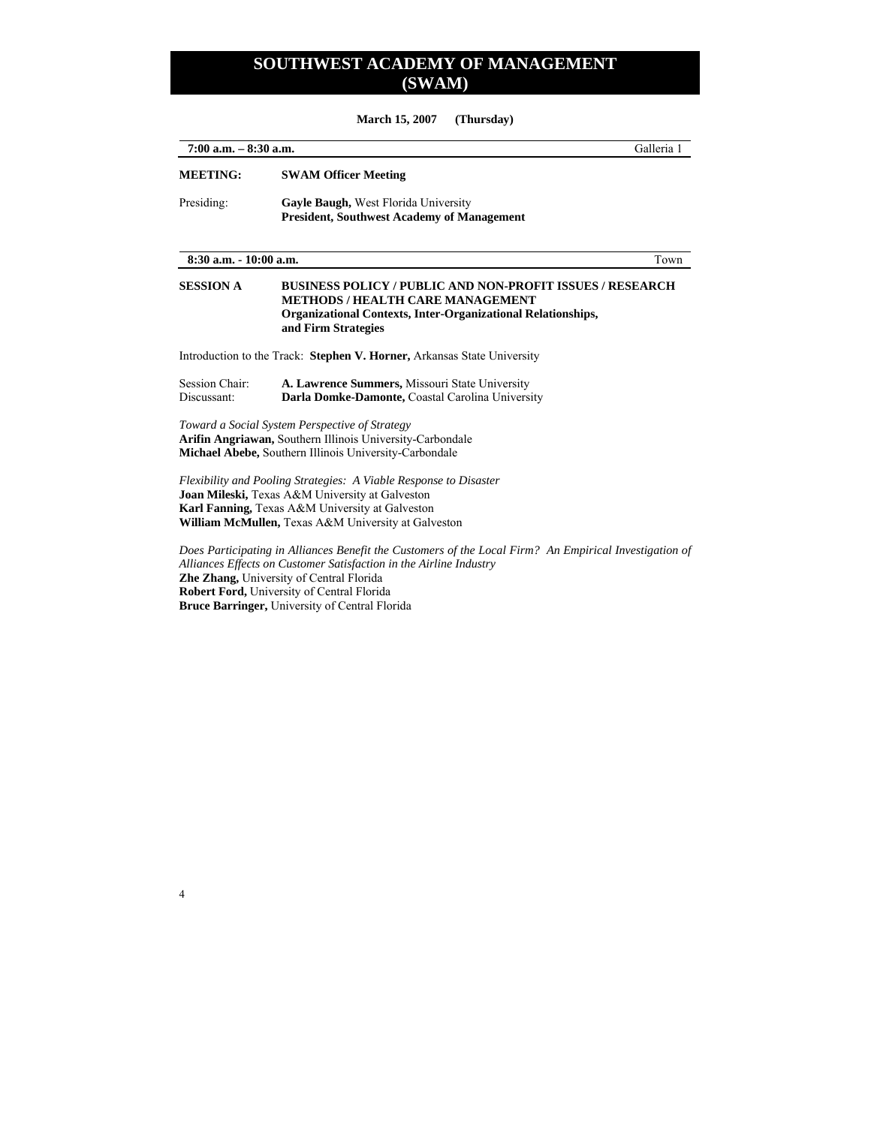**March 15, 2007 (Thursday)** 

| $7:00$ a.m. $-8:30$ a.m.      |                                                                                                                                                                                                                                | Galleria 1 |
|-------------------------------|--------------------------------------------------------------------------------------------------------------------------------------------------------------------------------------------------------------------------------|------------|
| <b>MEETING:</b>               | <b>SWAM Officer Meeting</b>                                                                                                                                                                                                    |            |
| Presiding:                    | Gayle Baugh, West Florida University<br><b>President, Southwest Academy of Management</b>                                                                                                                                      |            |
| 8:30 a.m. - 10:00 a.m.        |                                                                                                                                                                                                                                | Town       |
| <b>SESSION A</b>              | <b>BUSINESS POLICY / PUBLIC AND NON-PROFIT ISSUES / RESEARCH</b><br><b>METHODS / HEALTH CARE MANAGEMENT</b><br><b>Organizational Contexts, Inter-Organizational Relationships,</b><br>and Firm Strategies                      |            |
|                               | Introduction to the Track: Stephen V. Horner, Arkansas State University                                                                                                                                                        |            |
| Session Chair:<br>Discussant: | A. Lawrence Summers, Missouri State University<br>Darla Domke-Damonte, Coastal Carolina University                                                                                                                             |            |
|                               | Toward a Social System Perspective of Strategy<br>Arifin Angriawan, Southern Illinois University-Carbondale<br>Michael Abebe, Southern Illinois University-Carbondale                                                          |            |
|                               | Flexibility and Pooling Strategies: A Viable Response to Disaster<br>Joan Mileski, Texas A&M University at Galveston<br>Karl Fanning, Texas A&M University at Galveston<br>William McMullen, Texas A&M University at Galveston |            |
|                               | Does Participating in Alliances Benefit the Customers of the Local Firm? An Empirical Investigation of<br>Alliances Effects on Customer Satisfaction in the Airline Industry<br><b>7he 7hong</b> Huiversity of Central Florida |            |

**Zhe Zhang,** University of Central Florida **Robert Ford,** University of Central Florida **Bruce Barringer,** University of Central Florida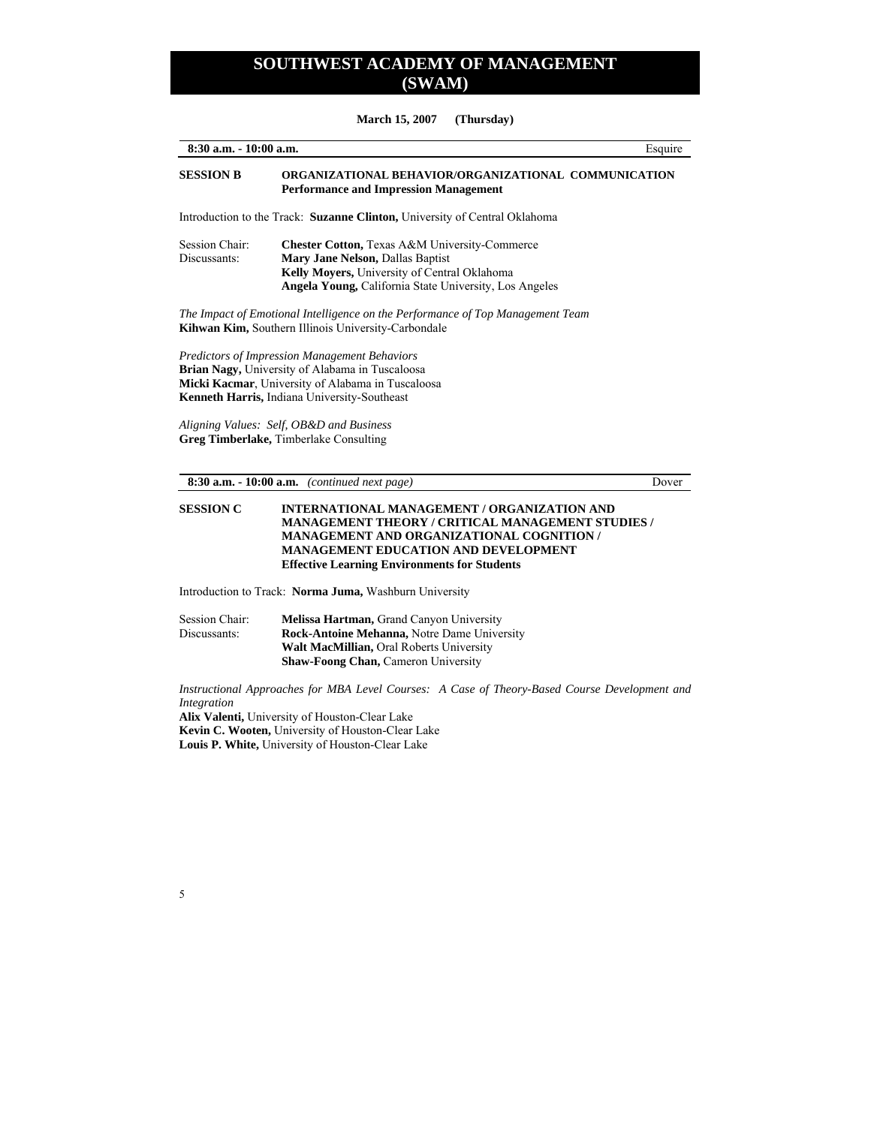**March 15, 2007 (Thursday)**

| 8:30 a.m. - 10:00 a.m.         |                                                                                                                                                                                                                                                                                                    | Esquire |
|--------------------------------|----------------------------------------------------------------------------------------------------------------------------------------------------------------------------------------------------------------------------------------------------------------------------------------------------|---------|
| <b>SESSION B</b>               | ORGANIZATIONAL BEHAVIOR/ORGANIZATIONAL COMMUNICATION<br><b>Performance and Impression Management</b>                                                                                                                                                                                               |         |
|                                | Introduction to the Track: Suzanne Clinton, University of Central Oklahoma                                                                                                                                                                                                                         |         |
| Session Chair:<br>Discussants: | <b>Chester Cotton, Texas A&amp;M University-Commerce</b><br>Mary Jane Nelson, Dallas Baptist<br>Kelly Moyers, University of Central Oklahoma<br>Angela Young, California State University, Los Angeles                                                                                             |         |
|                                | The Impact of Emotional Intelligence on the Performance of Top Management Team<br>Kihwan Kim, Southern Illinois University-Carbondale                                                                                                                                                              |         |
|                                | <b>Predictors of Impression Management Behaviors</b><br>Brian Nagy, University of Alabama in Tuscaloosa<br>Micki Kacmar, University of Alabama in Tuscaloosa<br>Kenneth Harris, Indiana University-Southeast<br>Aligning Values: Self, OB&D and Business<br>Greg Timberlake, Timberlake Consulting |         |
|                                | $8:30$ a.m. $-10:00$ a.m. (continued next page)                                                                                                                                                                                                                                                    | Dover   |
| <b>SESSION C</b>               | <b>INTERNATIONAL MANAGEMENT / ORGANIZATION AND</b><br><b>MANAGEMENT THEORY / CRITICAL MANAGEMENT STUDIES /</b><br><b>MANAGEMENT AND ORGANIZATIONAL COGNITION /</b><br><b>MANAGEMENT EDUCATION AND DEVELOPMENT</b><br><b>Effective Learning Environments for Students</b>                           |         |
|                                | Introduction to Track: Norma Juma, Washburn University                                                                                                                                                                                                                                             |         |
| Seccion Chair                  | Melicco Hortmon, Grand Canyon University                                                                                                                                                                                                                                                           |         |

Session Chair: **Melissa Hartman, Grand Canyon University Discussants: Rock-Antoine Mehanna, Notre Dame University** Rock-Antoine Mehanna, Notre Dame University **Walt MacMillian,** Oral Roberts University **Shaw-Foong Chan,** Cameron University

*Instructional Approaches for MBA Level Courses: A Case of Theory-Based Course Development and Integration* 

**Alix Valenti,** University of Houston-Clear Lake **Kevin C. Wooten,** University of Houston-Clear Lake **Louis P. White,** University of Houston-Clear Lake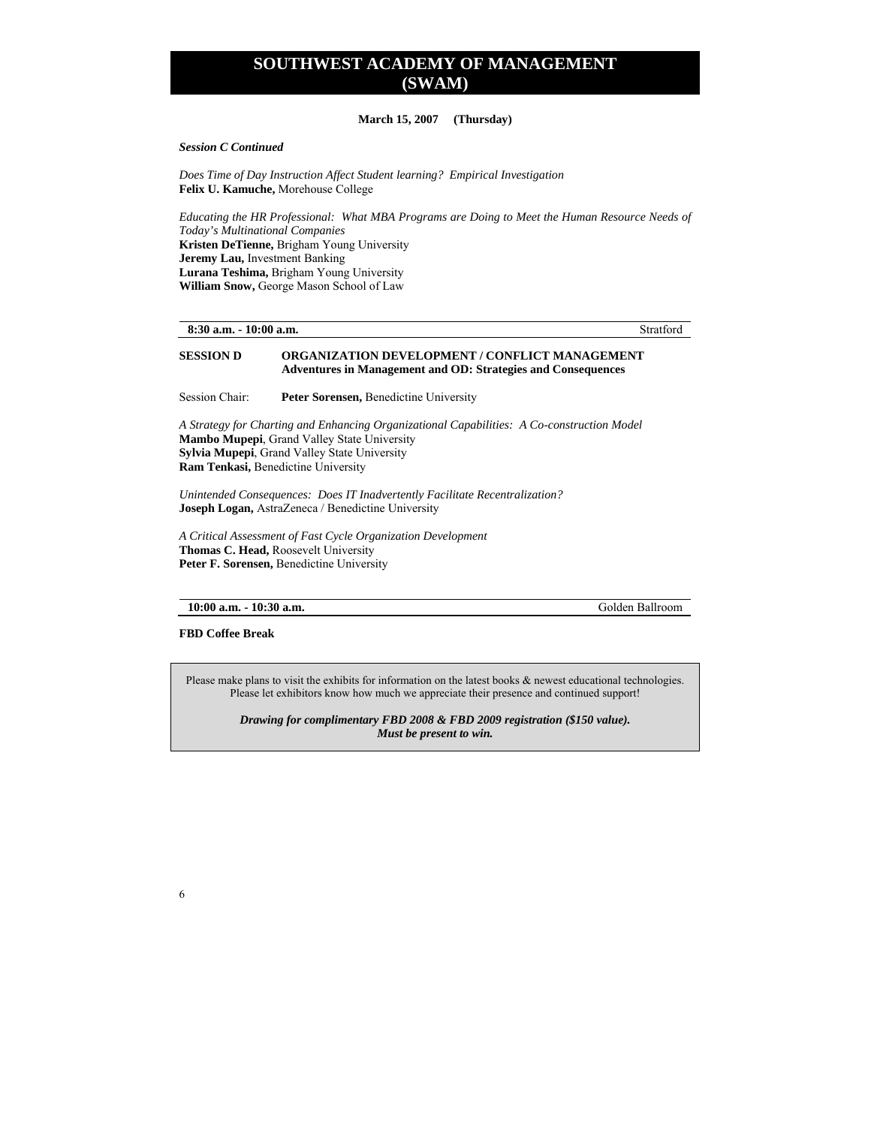#### **March 15, 2007 (Thursday)**

*Session C Continued* 

*Does Time of Day Instruction Affect Student learning? Empirical Investigation*  **Felix U. Kamuche,** Morehouse College

*Educating the HR Professional: What MBA Programs are Doing to Meet the Human Resource Needs of Today's Multinational Companies*  **Kristen DeTienne,** Brigham Young University **Jeremy Lau,** Investment Banking **Lurana Teshima,** Brigham Young University **William Snow,** George Mason School of Law

**8:30 a.m. - 10:00 a.m.** Stratford

#### **SESSION D ORGANIZATION DEVELOPMENT / CONFLICT MANAGEMENT Adventures in Management and OD: Strategies and Consequences**

Session Chair: **Peter Sorensen,** Benedictine University

*A Strategy for Charting and Enhancing Organizational Capabilities: A Co-construction Model*  **Mambo Mupepi**, Grand Valley State University **Sylvia Mupepi**, Grand Valley State University **Ram Tenkasi,** Benedictine University

*Unintended Consequences: Does IT Inadvertently Facilitate Recentralization?*  **Joseph Logan,** AstraZeneca / Benedictine University

*A Critical Assessment of Fast Cycle Organization Development*  **Thomas C. Head,** Roosevelt University **Peter F. Sorensen,** Benedictine University

**10:00 a.m. - 10:30 a.m.** Golden Ballroom

**FBD Coffee Break** 

6

Please make plans to visit the exhibits for information on the latest books & newest educational technologies. Please let exhibitors know how much we appreciate their presence and continued support!

*Drawing for complimentary FBD 2008 & FBD 2009 registration (\$150 value). Must be present to win.*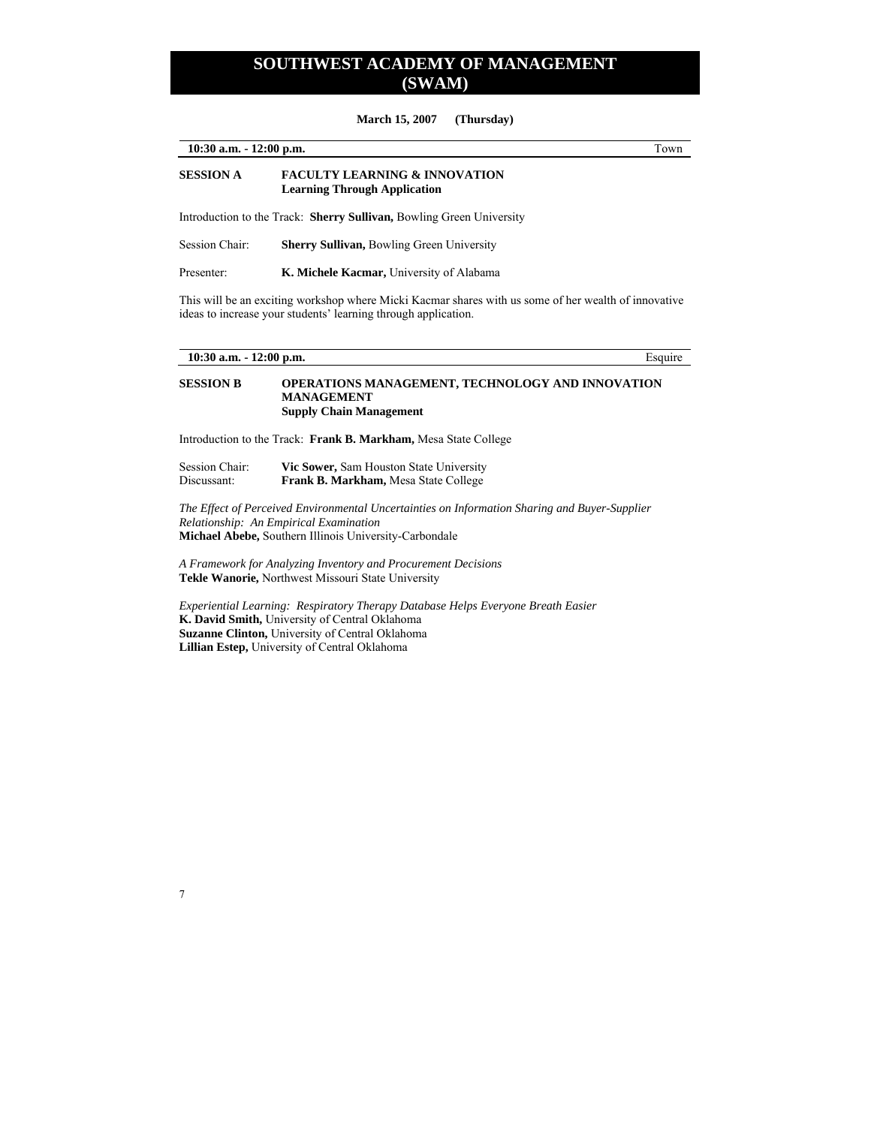**March 15, 2007 (Thursday)** 

| $10:30$ a.m. $-12:00$ p.m. |                                                                                 | Town |
|----------------------------|---------------------------------------------------------------------------------|------|
| <b>SESSION A</b>           | <b>FACULTY LEARNING &amp; INNOVATION</b><br><b>Learning Through Application</b> |      |
|                            | Introduction to the Track: <b>Sherry Sullivan, Bowling Green University</b>     |      |
| Session Chair:             | <b>Sherry Sullivan, Bowling Green University</b>                                |      |

This will be an exciting workshop where Micki Kacmar shares with us some of her wealth of innovative ideas to increase your students' learning through application.

Presenter: **K. Michele Kacmar,** University of Alabama

| $10:30$ a.m. $-12:00$ p.m.    |                                                                                                                                                                                                   | Esquire |
|-------------------------------|---------------------------------------------------------------------------------------------------------------------------------------------------------------------------------------------------|---------|
| <b>SESSION B</b>              | <b>OPERATIONS MANAGEMENT, TECHNOLOGY AND INNOVATION</b><br><b>MANAGEMENT</b><br><b>Supply Chain Management</b>                                                                                    |         |
|                               | Introduction to the Track: Frank B. Markham, Mesa State College                                                                                                                                   |         |
| Session Chair:<br>Discussant: | Vic Sower, Sam Houston State University<br>Frank B. Markham, Mesa State College                                                                                                                   |         |
|                               | The Effect of Perceived Environmental Uncertainties on Information Sharing and Buyer-Supplier<br>Relationship: An Empirical Examination<br>Michael Abebe, Southern Illinois University-Carbondale |         |
|                               | A Framework for Analyzing Inventory and Procurement Decisions<br><b>Tekle Wanorie, Northwest Missouri State University</b>                                                                        |         |
|                               |                                                                                                                                                                                                   |         |

*Experiential Learning: Respiratory Therapy Database Helps Everyone Breath Easier*  **K. David Smith,** University of Central Oklahoma **Suzanne Clinton,** University of Central Oklahoma **Lillian Estep,** University of Central Oklahoma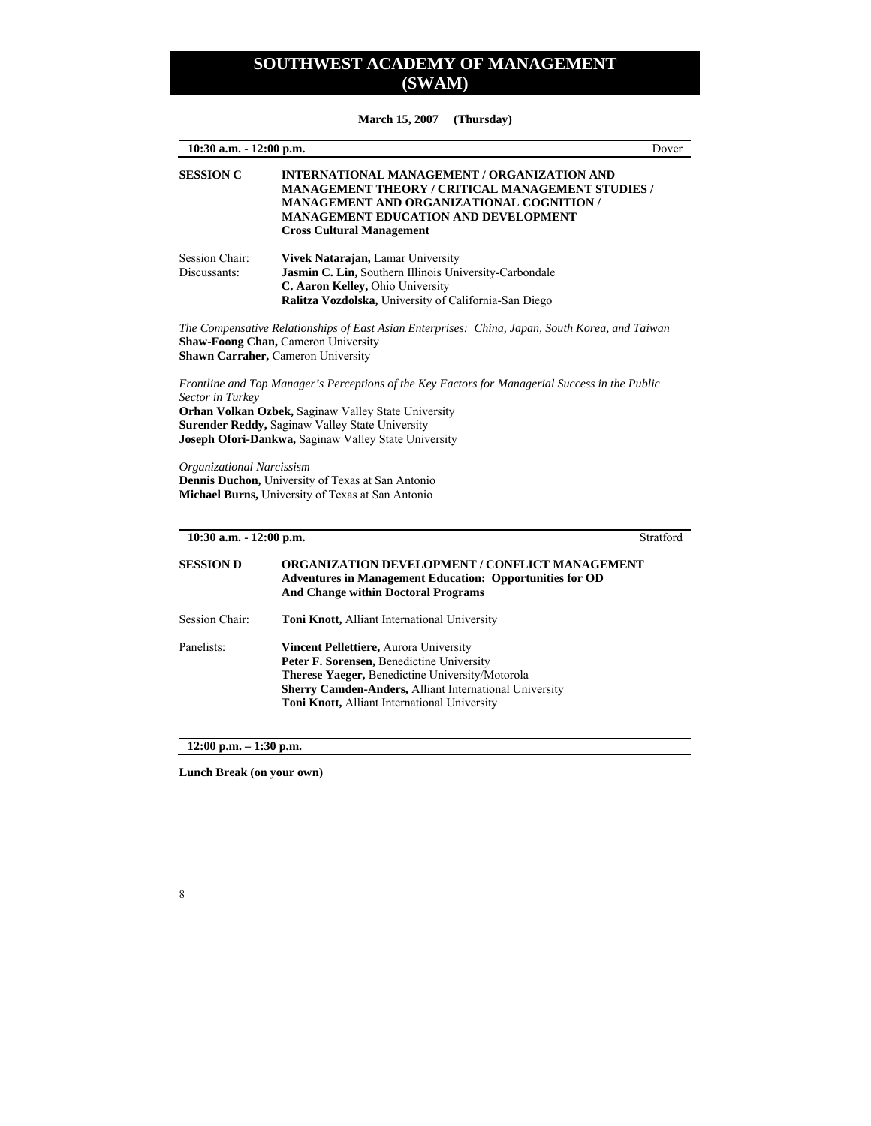**March 15, 2007 (Thursday)** 

| 10:30 a.m. - 12:00 p.m.                       |                                                                                                                                                                                                                                                                                                                                                                             | Dover     |
|-----------------------------------------------|-----------------------------------------------------------------------------------------------------------------------------------------------------------------------------------------------------------------------------------------------------------------------------------------------------------------------------------------------------------------------------|-----------|
| <b>SESSION C</b>                              | <b>INTERNATIONAL MANAGEMENT / ORGANIZATION AND</b><br>MANAGEMENT THEORY / CRITICAL MANAGEMENT STUDIES /<br><b>MANAGEMENT AND ORGANIZATIONAL COGNITION /</b><br>MANAGEMENT EDUCATION AND DEVELOPMENT<br><b>Cross Cultural Management</b>                                                                                                                                     |           |
| Session Chair:<br>Discussants:                | Vivek Natarajan, Lamar University<br>Jasmin C. Lin, Southern Illinois University-Carbondale<br>C. Aaron Kelley, Ohio University<br>Ralitza Vozdolska, University of California-San Diego                                                                                                                                                                                    |           |
|                                               | The Compensative Relationships of East Asian Enterprises: China, Japan, South Korea, and Taiwan<br><b>Shaw-Foong Chan, Cameron University</b><br>Shawn Carraher, Cameron University                                                                                                                                                                                         |           |
| Sector in Turkey<br>Organizational Narcissism | Frontline and Top Manager's Perceptions of the Key Factors for Managerial Success in the Public<br>Orhan Volkan Ozbek, Saginaw Valley State University<br>Surender Reddy, Saginaw Valley State University<br>Joseph Ofori-Dankwa, Saginaw Valley State University<br>Dennis Duchon, University of Texas at San Antonio<br>Michael Burns, University of Texas at San Antonio |           |
| 10:30 a.m. - 12:00 p.m.                       |                                                                                                                                                                                                                                                                                                                                                                             | Stratford |
| <b>SESSION D</b>                              | <b>ORGANIZATION DEVELOPMENT / CONFLICT MANAGEMENT</b><br><b>Adventures in Management Education: Opportunities for OD</b><br><b>And Change within Doctoral Programs</b>                                                                                                                                                                                                      |           |
| Session Chair:                                | Toni Knott, Alliant International University                                                                                                                                                                                                                                                                                                                                |           |
| Panelists:                                    | Vincent Pellettiere, Aurora University<br>Peter F. Sorensen, Benedictine University<br>Therese Yaeger, Benedictine University/Motorola<br>Sherry Camden-Anders, Alliant International University<br>Toni Knott, Alliant International University                                                                                                                            |           |

**12:00 p.m. – 1:30 p.m.** 

**Lunch Break (on your own)**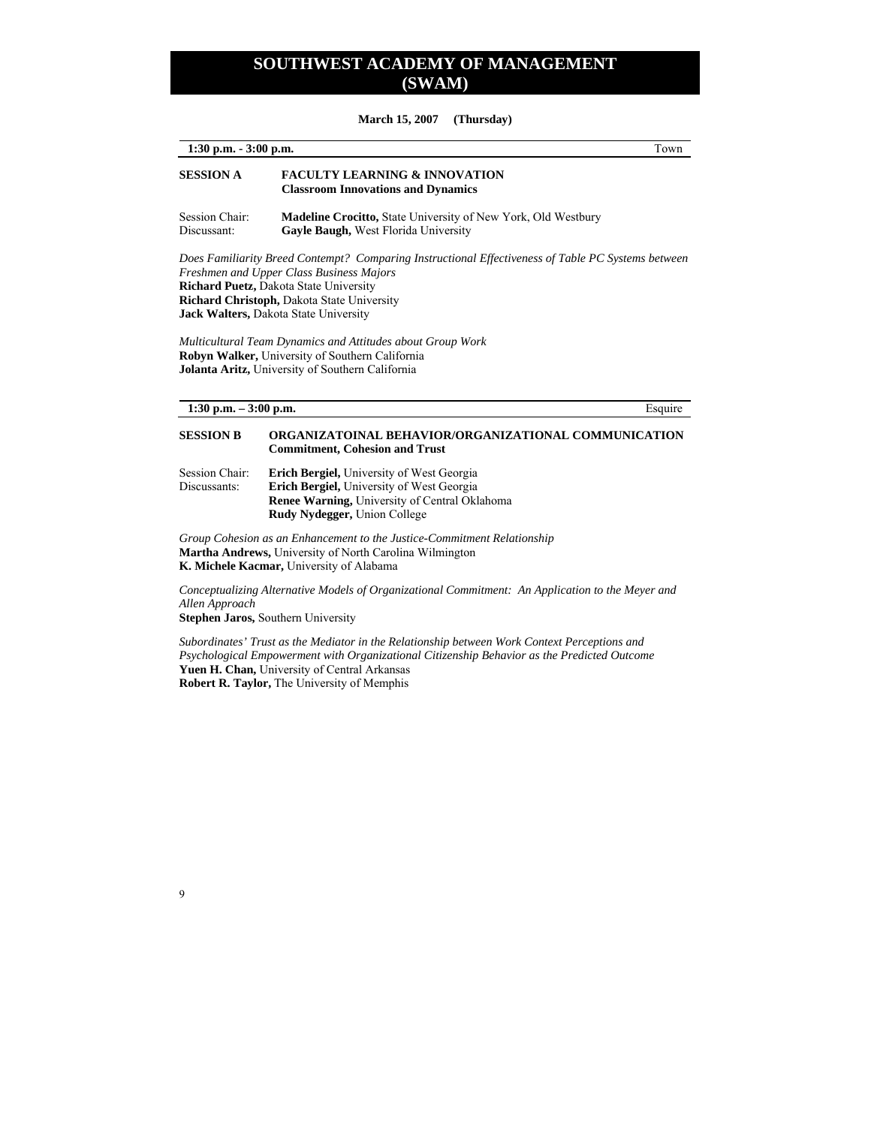#### **March 15, 2007 (Thursday)**

| $1:30$ p.m. $-3:00$ p.m.       | Town                                                                                                                                                                                                                                                                                                                                                                                                                                                        |
|--------------------------------|-------------------------------------------------------------------------------------------------------------------------------------------------------------------------------------------------------------------------------------------------------------------------------------------------------------------------------------------------------------------------------------------------------------------------------------------------------------|
| <b>SESSION A</b>               | <b>FACULTY LEARNING &amp; INNOVATION</b><br><b>Classroom Innovations and Dynamics</b>                                                                                                                                                                                                                                                                                                                                                                       |
| Session Chair:<br>Discussant:  | Madeline Crocitto, State University of New York, Old Westbury<br>Gayle Baugh, West Florida University                                                                                                                                                                                                                                                                                                                                                       |
|                                | Does Familiarity Breed Contempt? Comparing Instructional Effectiveness of Table PC Systems between<br>Freshmen and Upper Class Business Majors<br><b>Richard Puetz, Dakota State University</b><br>Richard Christoph, Dakota State University<br>Jack Walters, Dakota State University<br>Multicultural Team Dynamics and Attitudes about Group Work<br>Robyn Walker, University of Southern California<br>Jolanta Aritz, University of Southern California |
| 1:30 p.m. $-3:00$ p.m.         | Esquire                                                                                                                                                                                                                                                                                                                                                                                                                                                     |
| <b>SESSION B</b>               | ORGANIZATOINAL BEHAVIOR/ORGANIZATIONAL COMMUNICATION<br><b>Commitment, Cohesion and Trust</b>                                                                                                                                                                                                                                                                                                                                                               |
| Session Chair:<br>Discussants: | <b>Erich Bergiel, University of West Georgia</b><br>Erich Bergiel, University of West Georgia<br><b>Renee Warning, University of Central Oklahoma</b><br>Rudy Nydegger, Union College                                                                                                                                                                                                                                                                       |

*Group Cohesion as an Enhancement to the Justice-Commitment Relationship*  **Martha Andrews,** University of North Carolina Wilmington **K. Michele Kacmar,** University of Alabama

*Conceptualizing Alternative Models of Organizational Commitment: An Application to the Meyer and Allen Approach* 

**Stephen Jaros,** Southern University

9

*Subordinates' Trust as the Mediator in the Relationship between Work Context Perceptions and Psychological Empowerment with Organizational Citizenship Behavior as the Predicted Outcome*  **Yuen H. Chan,** University of Central Arkansas **Robert R. Taylor,** The University of Memphis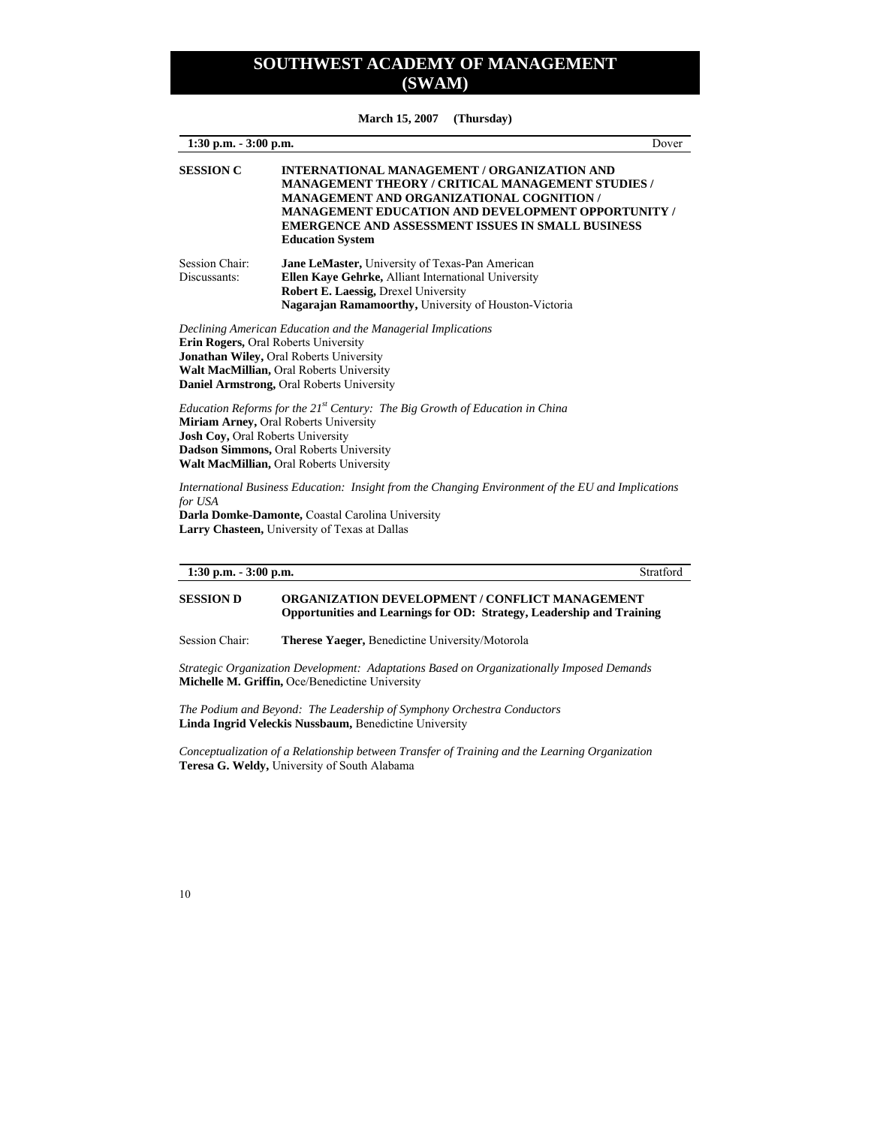**March 15, 2007 (Thursday)** 

**1:30 p.m. - 3:00 p.m.** Dover **SESSION C INTERNATIONAL MANAGEMENT / ORGANIZATION AND MANAGEMENT THEORY / CRITICAL MANAGEMENT STUDIES / MANAGEMENT AND ORGANIZATIONAL COGNITION / MANAGEMENT EDUCATION AND DEVELOPMENT OPPORTUNITY / EMERGENCE AND ASSESSMENT ISSUES IN SMALL BUSINESS Education System**  Session Chair: **Jane LeMaster,** University of Texas-Pan American Discussants: **Ellen Kaye Gehrke,** Alliant International University **Robert E. Laessig,** Drexel University **Nagarajan Ramamoorthy,** University of Houston-Victoria *Declining American Education and the Managerial Implications*  **Erin Rogers,** Oral Roberts University **Jonathan Wiley,** Oral Roberts University **Walt MacMillian,** Oral Roberts University **Daniel Armstrong,** Oral Roberts University *Education Reforms for the 21st Century: The Big Growth of Education in China*  **Miriam Arney,** Oral Roberts University **Josh Coy,** Oral Roberts University **Dadson Simmons,** Oral Roberts University **Walt MacMillian,** Oral Roberts University *International Business Education: Insight from the Changing Environment of the EU and Implications for USA*  **Darla Domke-Damonte,** Coastal Carolina University

**Larry Chasteen,** University of Texas at Dallas

#### **1:30 p.m. - 3:00 p.m.** Stratford

### **SESSION D ORGANIZATION DEVELOPMENT / CONFLICT MANAGEMENT Opportunities and Learnings for OD: Strategy, Leadership and Training**

Session Chair: **Therese Yaeger,** Benedictine University/Motorola

*Strategic Organization Development: Adaptations Based on Organizationally Imposed Demands*  **Michelle M. Griffin,** Oce/Benedictine University

*The Podium and Beyond: The Leadership of Symphony Orchestra Conductors*  **Linda Ingrid Veleckis Nussbaum,** Benedictine University

*Conceptualization of a Relationship between Transfer of Training and the Learning Organization*  **Teresa G. Weldy,** University of South Alabama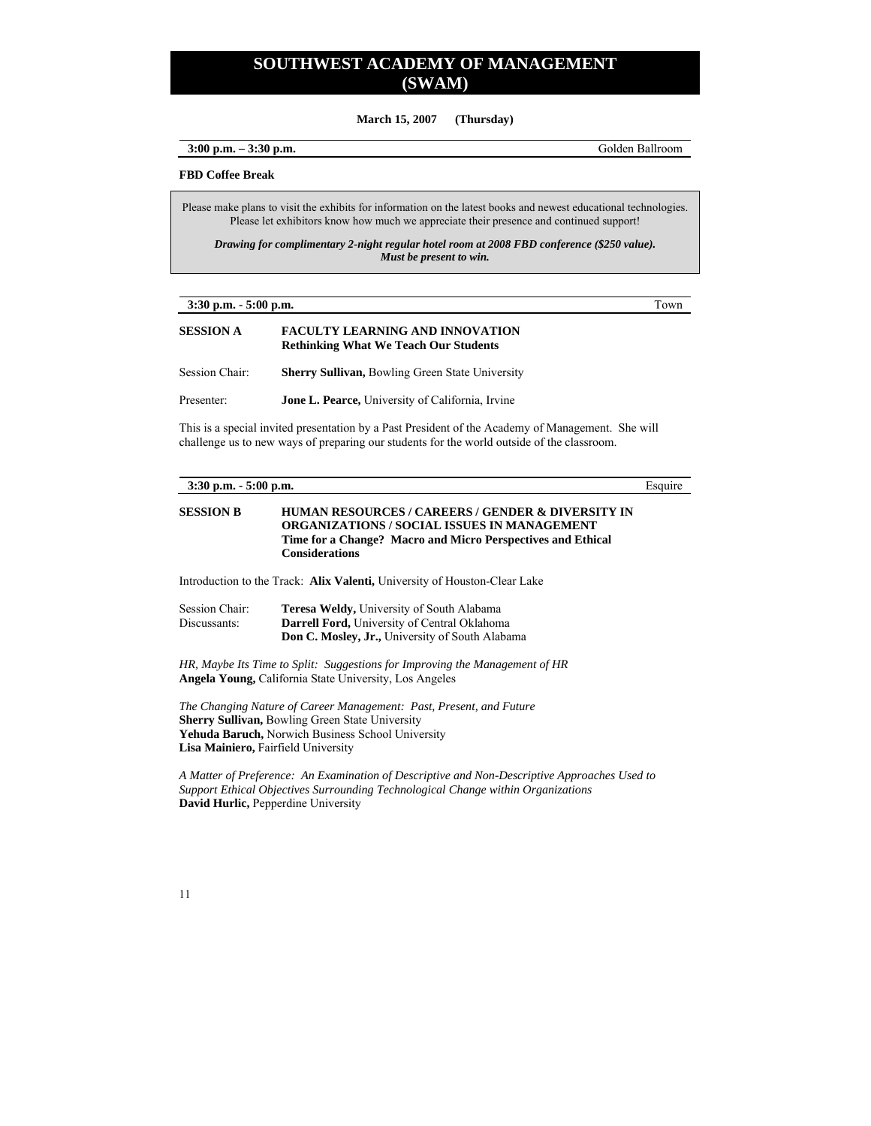**March 15, 2007 (Thursday)** 

**3:00 p.m. – 3:30 p.m.** Golden Ballroom

#### **FBD Coffee Break**

Please make plans to visit the exhibits for information on the latest books and newest educational technologies. Please let exhibitors know how much we appreciate their presence and continued support!

*Drawing for complimentary 2-night regular hotel room at 2008 FBD conference (\$250 value). Must be present to win.* 

**3:30 p.m. - 5:00 p.m.** Town

#### **SESSION A FACULTY LEARNING AND INNOVATION Rethinking What We Teach Our Students**

Session Chair: **Sherry Sullivan,** Bowling Green State University

Presenter: **Jone L. Pearce,** University of California, Irvine

This is a special invited presentation by a Past President of the Academy of Management. She will challenge us to new ways of preparing our students for the world outside of the classroom.

| $3:30$ p.m. $-5:00$ p.m.            |                                                                                                                                                                                          | Esquire |
|-------------------------------------|------------------------------------------------------------------------------------------------------------------------------------------------------------------------------------------|---------|
| <b>SESSION B</b>                    | HUMAN RESOURCES / CAREERS / GENDER & DIVERSITY IN<br>ORGANIZATIONS / SOCIAL ISSUES IN MANAGEMENT<br>Time for a Change? Macro and Micro Perspectives and Ethical<br><b>Considerations</b> |         |
|                                     | Introduction to the Track: <b>Alix Valenti</b> , University of Houston-Clear Lake                                                                                                        |         |
| Session Chair:<br>Discussants:      | <b>Teresa Weldy, University of South Alabama</b><br><b>Darrell Ford, University of Central Oklahoma</b><br><b>Don C. Mosley, Jr., University of South Alabama</b>                        |         |
|                                     | HR, Maybe Its Time to Split: Suggestions for Improving the Management of HR<br><b>Angela Young, California State University, Los Angeles</b>                                             |         |
| Lisa Mainiero, Fairfield University | The Changing Nature of Career Management: Past, Present, and Future<br><b>Sherry Sullivan, Bowling Green State University</b><br>Yehuda Baruch, Norwich Business School University       |         |

*A Matter of Preference: An Examination of Descriptive and Non-Descriptive Approaches Used to Support Ethical Objectives Surrounding Technological Change within Organizations*  **David Hurlic,** Pepperdine University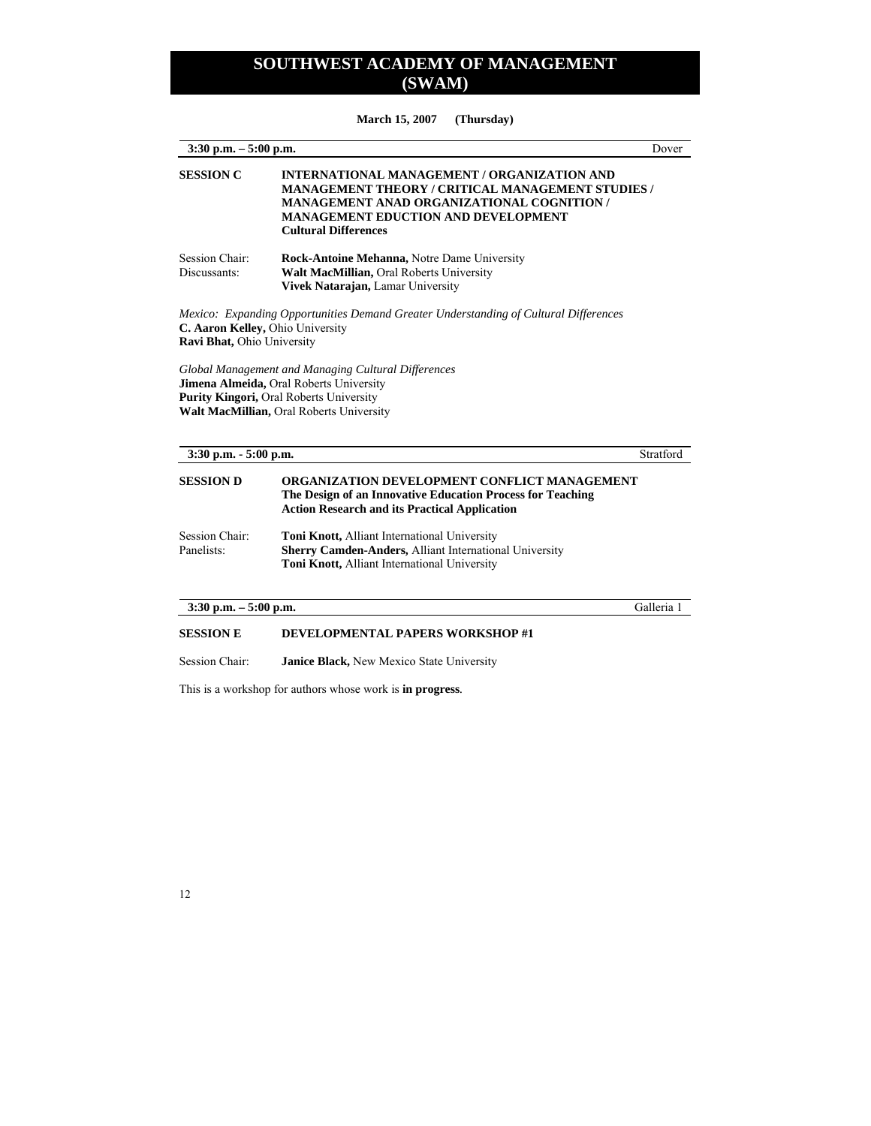**March 15, 2007 (Thursday)** 

| $3:30$ p.m. $-5:00$ p.m.                                       |                                                                                                                                                                                                                                           | Dover      |
|----------------------------------------------------------------|-------------------------------------------------------------------------------------------------------------------------------------------------------------------------------------------------------------------------------------------|------------|
| <b>SESSION C</b>                                               | INTERNATIONAL MANAGEMENT / ORGANIZATION AND<br><b>MANAGEMENT THEORY / CRITICAL MANAGEMENT STUDIES /</b><br><b>MANAGEMENT ANAD ORGANIZATIONAL COGNITION /</b><br><b>MANAGEMENT EDUCTION AND DEVELOPMENT</b><br><b>Cultural Differences</b> |            |
| Session Chair:<br>Discussants:                                 | Rock-Antoine Mehanna, Notre Dame University<br>Walt MacMillian, Oral Roberts University<br>Vivek Natarajan, Lamar University                                                                                                              |            |
| C. Aaron Kelley, Ohio University<br>Ravi Bhat, Ohio University | Mexico: Expanding Opportunities Demand Greater Understanding of Cultural Differences                                                                                                                                                      |            |
| 3:30 p.m. - 5:00 p.m.                                          | Global Management and Managing Cultural Differences<br>Jimena Almeida, Oral Roberts University<br>Purity Kingori, Oral Roberts University<br>Walt MacMillian, Oral Roberts University                                                     | Stratford  |
| <b>SESSION D</b>                                               | ORGANIZATION DEVELOPMENT CONFLICT MANAGEMENT<br>The Design of an Innovative Education Process for Teaching<br><b>Action Research and its Practical Application</b>                                                                        |            |
| Session Chair:<br>Panelists:                                   | Toni Knott, Alliant International University<br>Sherry Camden-Anders, Alliant International University<br>Toni Knott, Alliant International University                                                                                    |            |
| $3:30$ p.m. $-5:00$ p.m.                                       |                                                                                                                                                                                                                                           | Galleria 1 |
| <b>SESSION E</b>                                               | DEVELOPMENTAL PAPERS WORKSHOP #1                                                                                                                                                                                                          |            |

Session Chair: **Janice Black,** New Mexico State University

This is a workshop for authors whose work is **in progress***.*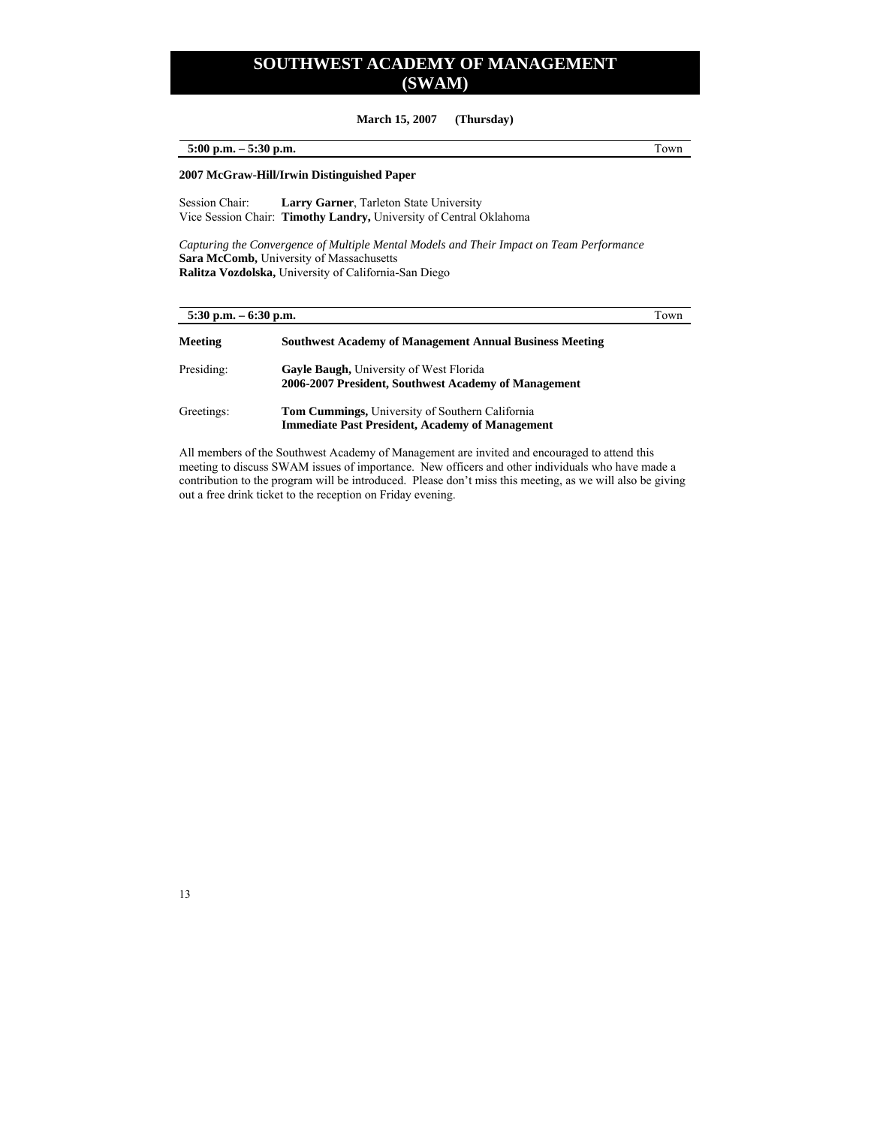**March 15, 2007 (Thursday)** 

### **5:00 p.m. – 5:30 p.m.** Town

**2007 McGraw-Hill/Irwin Distinguished Paper** 

Session Chair: **Larry Garner**, Tarleton State University Vice Session Chair: **Timothy Landry,** University of Central Oklahoma

*Capturing the Convergence of Multiple Mental Models and Their Impact on Team Performance*  **Sara McComb,** University of Massachusetts **Ralitza Vozdolska,** University of California-San Diego

| $5:30$ p.m. $-6:30$ p.m. |                                                                                                           | Town |
|--------------------------|-----------------------------------------------------------------------------------------------------------|------|
| Meeting                  | <b>Southwest Academy of Management Annual Business Meeting</b>                                            |      |
| Presiding:               | <b>Gayle Baugh, University of West Florida</b><br>2006-2007 President, Southwest Academy of Management    |      |
| Greetings:               | Tom Cummings, University of Southern California<br><b>Immediate Past President, Academy of Management</b> |      |

All members of the Southwest Academy of Management are invited and encouraged to attend this meeting to discuss SWAM issues of importance. New officers and other individuals who have made a contribution to the program will be introduced. Please don't miss this meeting, as we will also be giving out a free drink ticket to the reception on Friday evening.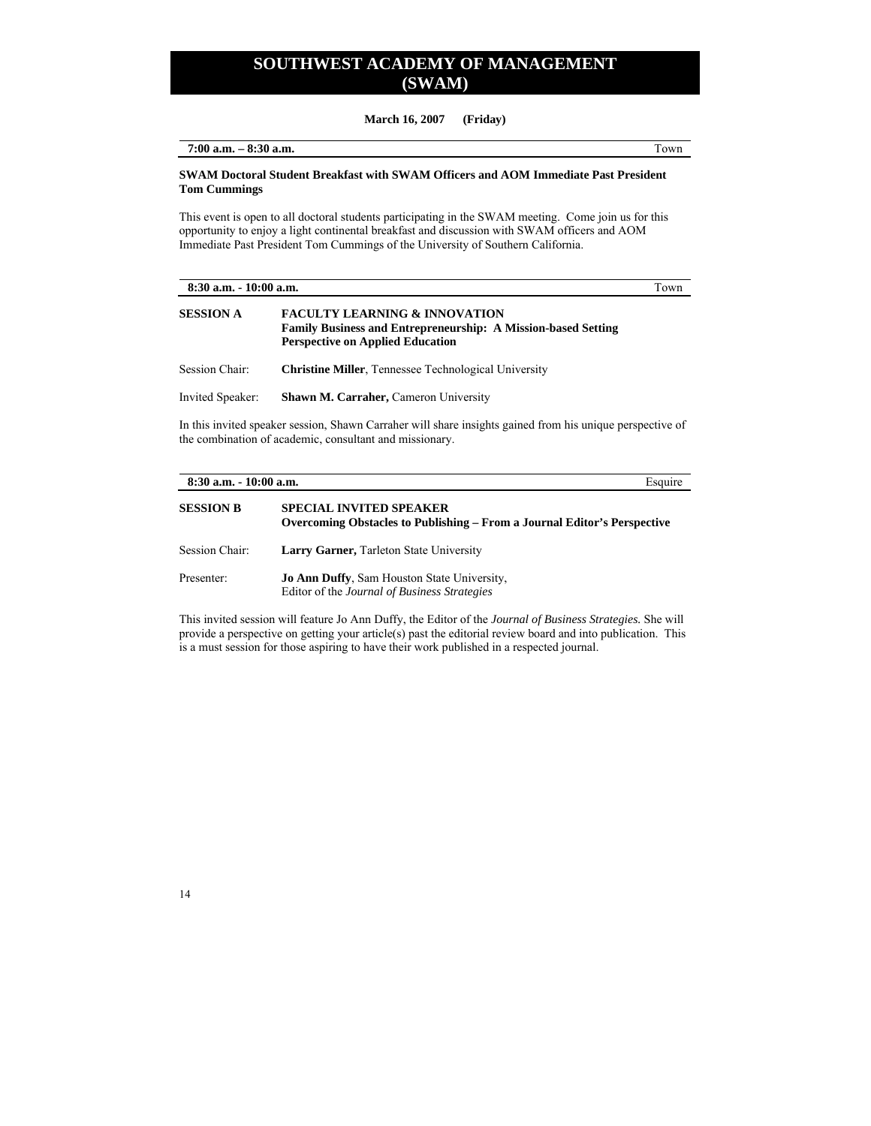**March 16, 2007 (Friday)** 

**7:00 a.m. – 8:30 a.m.** Town

### **SWAM Doctoral Student Breakfast with SWAM Officers and AOM Immediate Past President Tom Cummings**

This event is open to all doctoral students participating in the SWAM meeting. Come join us for this opportunity to enjoy a light continental breakfast and discussion with SWAM officers and AOM Immediate Past President Tom Cummings of the University of Southern California.

| $8:30$ a.m. $-10:00$ a.m. |                                                                                                                                                                      | Town |
|---------------------------|----------------------------------------------------------------------------------------------------------------------------------------------------------------------|------|
| <b>SESSION A</b>          | <b>FACULTY LEARNING &amp; INNOVATION</b><br><b>Family Business and Entrepreneurship: A Mission-based Setting</b><br><b>Perspective on Applied Education</b>          |      |
| Session Chair:            | <b>Christine Miller.</b> Tennessee Technological University                                                                                                          |      |
| Invited Speaker:          | <b>Shawn M. Carraher, Cameron University</b>                                                                                                                         |      |
|                           | In this invited speaker session, Shawn Carraher will share insights gained from his unique perspective of<br>the combination of academic, consultant and missionary. |      |

| $8:30$ a.m. $-10:00$ a.m. |                                                                                                            | Esquire |
|---------------------------|------------------------------------------------------------------------------------------------------------|---------|
| <b>SESSION B</b>          | <b>SPECIAL INVITED SPEAKER</b><br>Overcoming Obstacles to Publishing – From a Journal Editor's Perspective |         |
| Session Chair:            | <b>Larry Garner, Tarleton State University</b>                                                             |         |
| Presenter:                | <b>Jo Ann Duffy, Sam Houston State University,</b><br>Editor of the Journal of Business Strategies         |         |

This invited session will feature Jo Ann Duffy, the Editor of the *Journal of Business Strategies.* She will provide a perspective on getting your article(s) past the editorial review board and into publication. This is a must session for those aspiring to have their work published in a respected journal.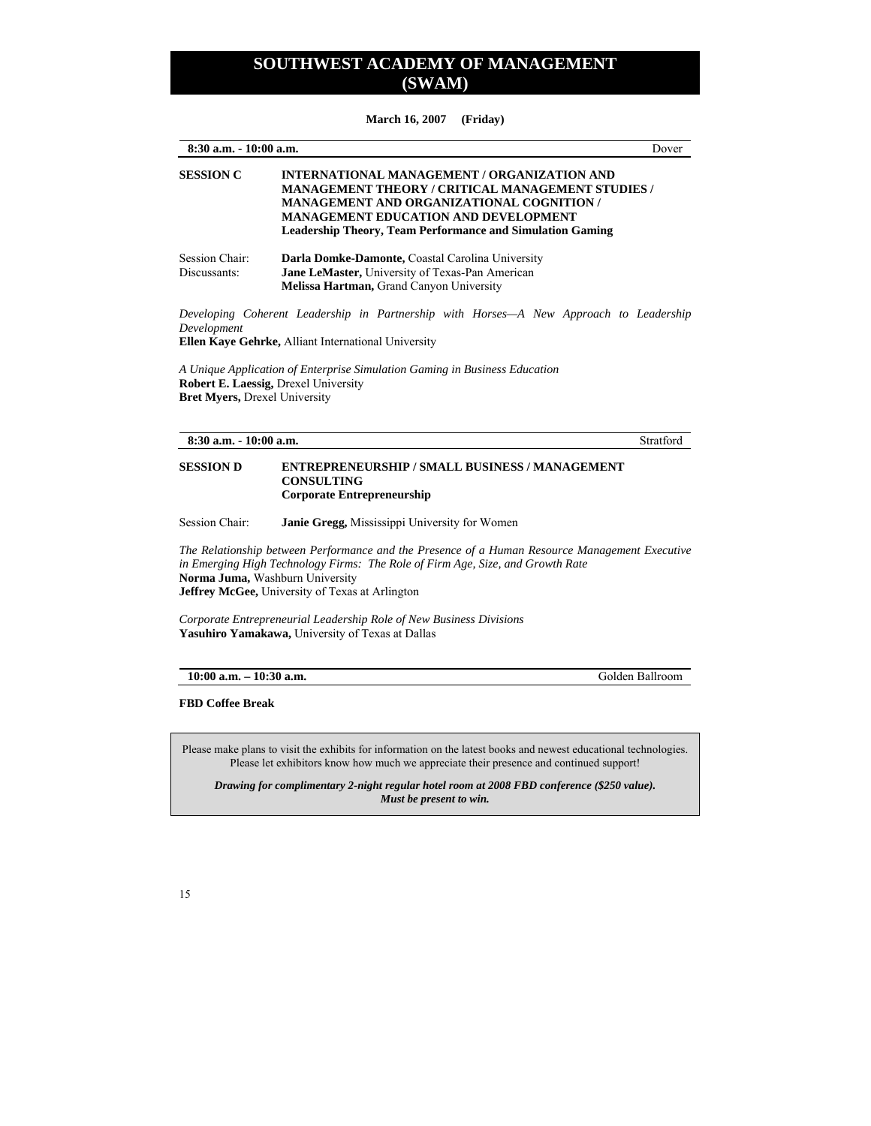**March 16, 2007 (Friday)** 

| 8:30 a.m. - 10:00 a.m.               |                                                                                                                                                                                                                                                                                       | Dover           |
|--------------------------------------|---------------------------------------------------------------------------------------------------------------------------------------------------------------------------------------------------------------------------------------------------------------------------------------|-----------------|
| <b>SESSION C</b>                     | <b>INTERNATIONAL MANAGEMENT / ORGANIZATION AND</b><br><b>MANAGEMENT THEORY / CRITICAL MANAGEMENT STUDIES /</b><br><b>MANAGEMENT AND ORGANIZATIONAL COGNITION /</b><br><b>MANAGEMENT EDUCATION AND DEVELOPMENT</b><br><b>Leadership Theory, Team Performance and Simulation Gaming</b> |                 |
| Session Chair:<br>Discussants:       | Darla Domke-Damonte, Coastal Carolina University<br>Jane LeMaster, University of Texas-Pan American<br>Melissa Hartman, Grand Canyon University                                                                                                                                       |                 |
| Development                          | Developing Coherent Leadership in Partnership with Horses—A New Approach to Leadership<br>Ellen Kaye Gehrke, Alliant International University                                                                                                                                         |                 |
| <b>Bret Myers, Drexel University</b> | A Unique Application of Enterprise Simulation Gaming in Business Education<br><b>Robert E. Laessig, Drexel University</b>                                                                                                                                                             |                 |
| $8:30$ a.m. $-10:00$ a.m.            |                                                                                                                                                                                                                                                                                       | Stratford       |
| <b>SESSION D</b>                     | <b>ENTREPRENEURSHIP / SMALL BUSINESS / MANAGEMENT</b><br><b>CONSULTING</b><br><b>Corporate Entrepreneurship</b>                                                                                                                                                                       |                 |
| Session Chair:                       | Janie Gregg, Mississippi University for Women                                                                                                                                                                                                                                         |                 |
|                                      | The Relationship between Performance and the Presence of a Human Resource Management Executive<br>in Emerging High Technology Firms: The Role of Firm Age, Size, and Growth Rate<br>Norma Juma, Washburn University<br>Jeffrey McGee, University of Texas at Arlington                |                 |
|                                      | Corporate Entrepreneurial Leadership Role of New Business Divisions<br>Yasuhiro Yamakawa, University of Texas at Dallas                                                                                                                                                               |                 |
| $10:00$ a.m. $-10:30$ a.m.           |                                                                                                                                                                                                                                                                                       | Golden Ballroom |
| <b>FBD Coffee Break</b>              |                                                                                                                                                                                                                                                                                       |                 |
|                                      | Please make plans to visit the exhibits for information on the latest books and newest educational technologies.<br>Please let exhibitors know how much we appreciate their presence and continued support!                                                                           |                 |

*Drawing for complimentary 2-night regular hotel room at 2008 FBD conference (\$250 value). Must be present to win.*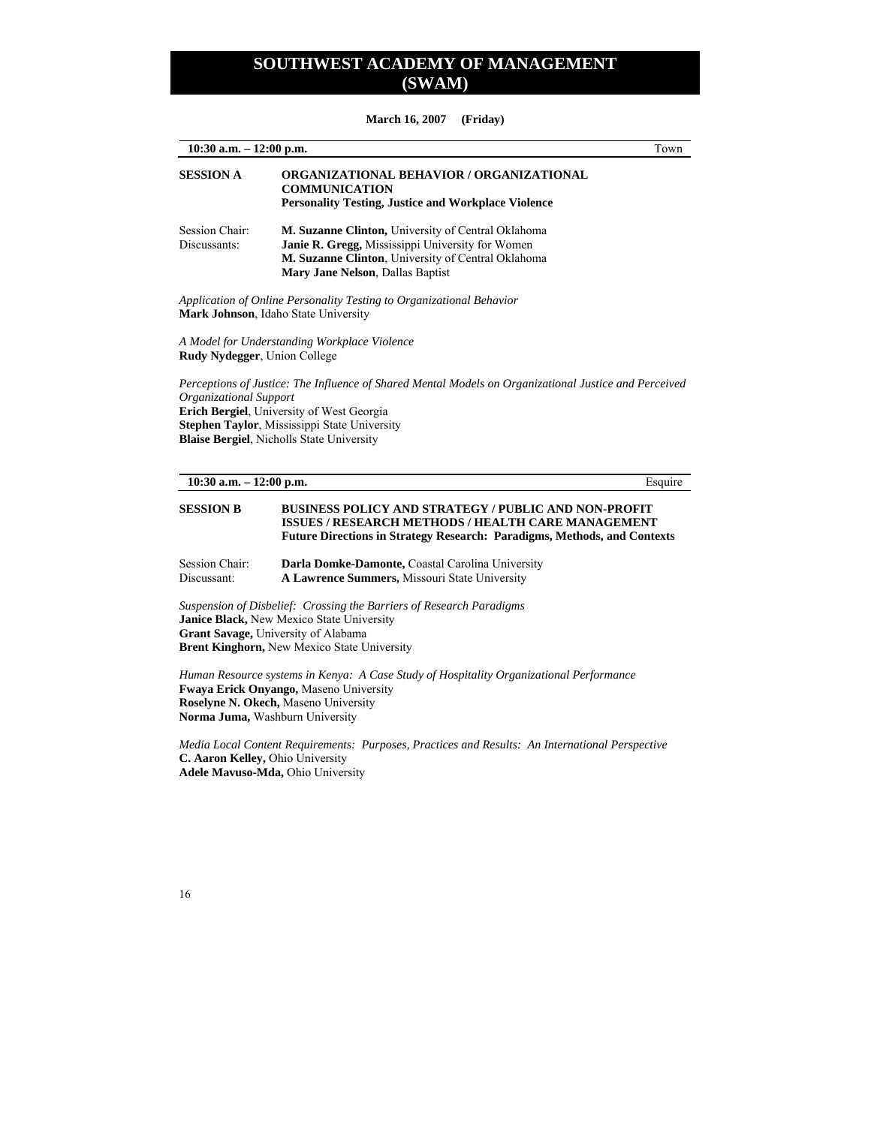**10:30 a.m. – 12:00 p.m.** Town **SESSION A ORGANIZATIONAL BEHAVIOR / ORGANIZATIONAL COMMUNICATION Personality Testing, Justice and Workplace Violence**  Session Chair: **M. Suzanne Clinton,** University of Central Oklahoma Discussants: **Janie R. Gregg,** Mississippi University for Women  **M. Suzanne Clinton**, University of Central Oklahoma  **Mary Jane Nelson**, Dallas Baptist *Application of Online Personality Testing to Organizational Behavior*  **Mark Johnson**, Idaho State University

*A Model for Understanding Workplace Violence*  **Rudy Nydegger**, Union College

*Perceptions of Justice: The Influence of Shared Mental Models on Organizational Justice and Perceived Organizational Support*  **Erich Bergiel**, University of West Georgia **Stephen Taylor**, Mississippi State University **Blaise Bergiel**, Nicholls State University

#### **10:30 a.m. – 12:00 p.m.** Esquire

#### **SESSION B BUSINESS POLICY AND STRATEGY / PUBLIC AND NON-PROFIT ISSUES / RESEARCH METHODS / HEALTH CARE MANAGEMENT Future Directions in Strategy Research: Paradigms, Methods, and Contexts**

Session Chair: **Darla Domke-Damonte,** Coastal Carolina University Discussant: **A Lawrence Summers,** Missouri State University

*Suspension of Disbelief: Crossing the Barriers of Research Paradigms*  **Janice Black,** New Mexico State University **Grant Savage,** University of Alabama **Brent Kinghorn,** New Mexico State University

*Human Resource systems in Kenya: A Case Study of Hospitality Organizational Performance*  **Fwaya Erick Onyango,** Maseno University **Roselyne N. Okech,** Maseno University **Norma Juma,** Washburn University

*Media Local Content Requirements: Purposes, Practices and Results: An International Perspective*  **C. Aaron Kelley,** Ohio University **Adele Mavuso-Mda,** Ohio University

16

#### **March 16, 2007 (Friday)**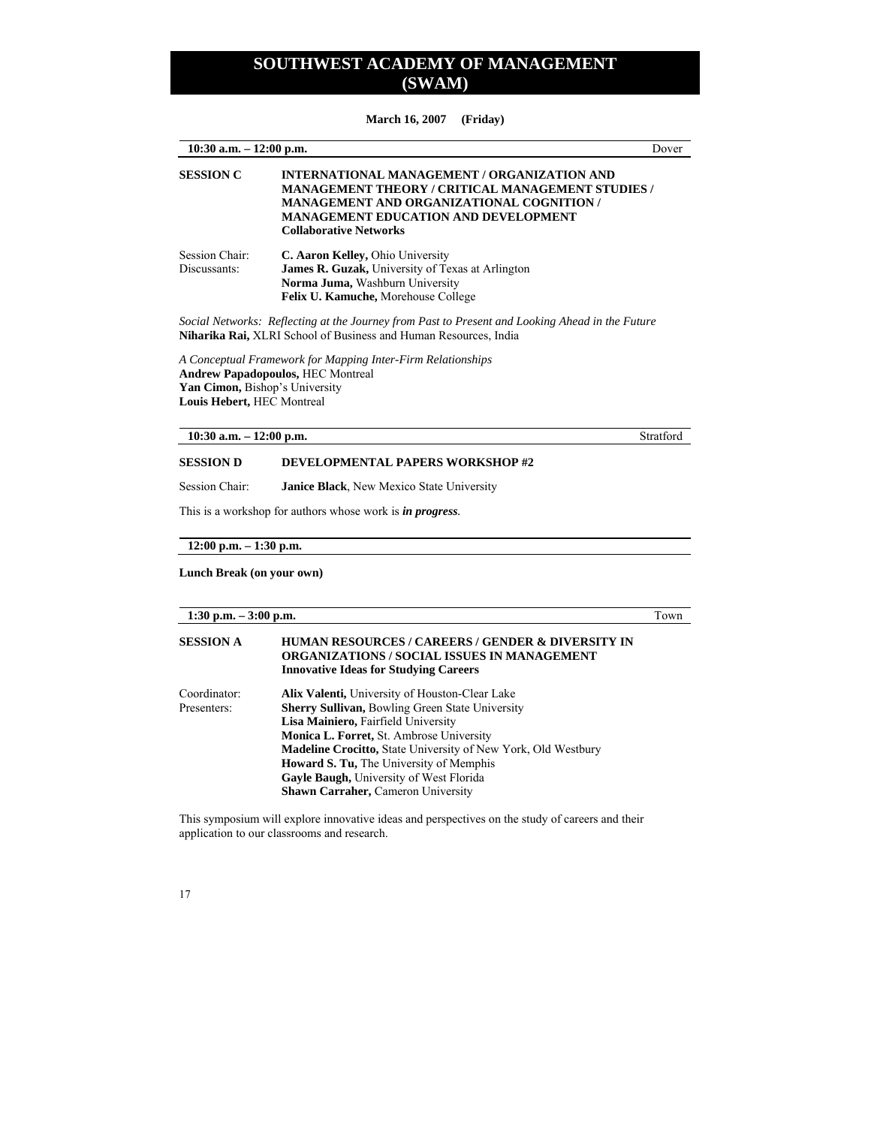**March 16, 2007 (Friday)** 

| $10:30$ a.m. $-12:00$ p.m.     |                                                                                                                                                                                                                                             | Dover |
|--------------------------------|---------------------------------------------------------------------------------------------------------------------------------------------------------------------------------------------------------------------------------------------|-------|
| <b>SESSION C</b>               | INTERNATIONAL MANAGEMENT / ORGANIZATION AND<br><b>MANAGEMENT THEORY / CRITICAL MANAGEMENT STUDIES /</b><br><b>MANAGEMENT AND ORGANIZATIONAL COGNITION /</b><br><b>MANAGEMENT EDUCATION AND DEVELOPMENT</b><br><b>Collaborative Networks</b> |       |
| Session Chair:<br>Discussants: | C. Aaron Kelley, Ohio University<br><b>James R. Guzak, University of Texas at Arlington</b><br>Norma Juma, Washburn University<br>Felix U. Kamuche, Morehouse College                                                                       |       |

*Social Networks: Reflecting at the Journey from Past to Present and Looking Ahead in the Future*  **Niharika Rai,** XLRI School of Business and Human Resources, India

*A Conceptual Framework for Mapping Inter-Firm Relationships*  **Andrew Papadopoulos,** HEC Montreal **Yan Cimon,** Bishop's University **Louis Hebert,** HEC Montreal

**10:30 a.m. – 12:00 p.m.** Stratford

### **SESSION D DEVELOPMENTAL PAPERS WORKSHOP #2**

Session Chair: **Janice Black**, New Mexico State University

This is a workshop for authors whose work is *in progress.*

**12:00 p.m. – 1:30 p.m.** 

**Lunch Break (on your own)** 

**1:30 p.m. – 3:00 p.m.** Town

### **SESSION A HUMAN RESOURCES / CAREERS / GENDER & DIVERSITY IN ORGANIZATIONS / SOCIAL ISSUES IN MANAGEMENT Innovative Ideas for Studying Careers**  Coordinator: **Alix Valenti,** University of Houston-Clear Lake

| Presenters: | <b>Sherry Sullivan, Bowling Green State University</b>               |
|-------------|----------------------------------------------------------------------|
|             | Lisa Mainiero, Fairfield University                                  |
|             | <b>Monica L. Forret, St. Ambrose University</b>                      |
|             | <b>Madeline Crocitto, State University of New York, Old Westbury</b> |
|             | <b>Howard S. Tu, The University of Memphis</b>                       |
|             | Gavle Baugh, University of West Florida                              |
|             | <b>Shawn Carraher, Cameron University</b>                            |
|             |                                                                      |

This symposium will explore innovative ideas and perspectives on the study of careers and their application to our classrooms and research.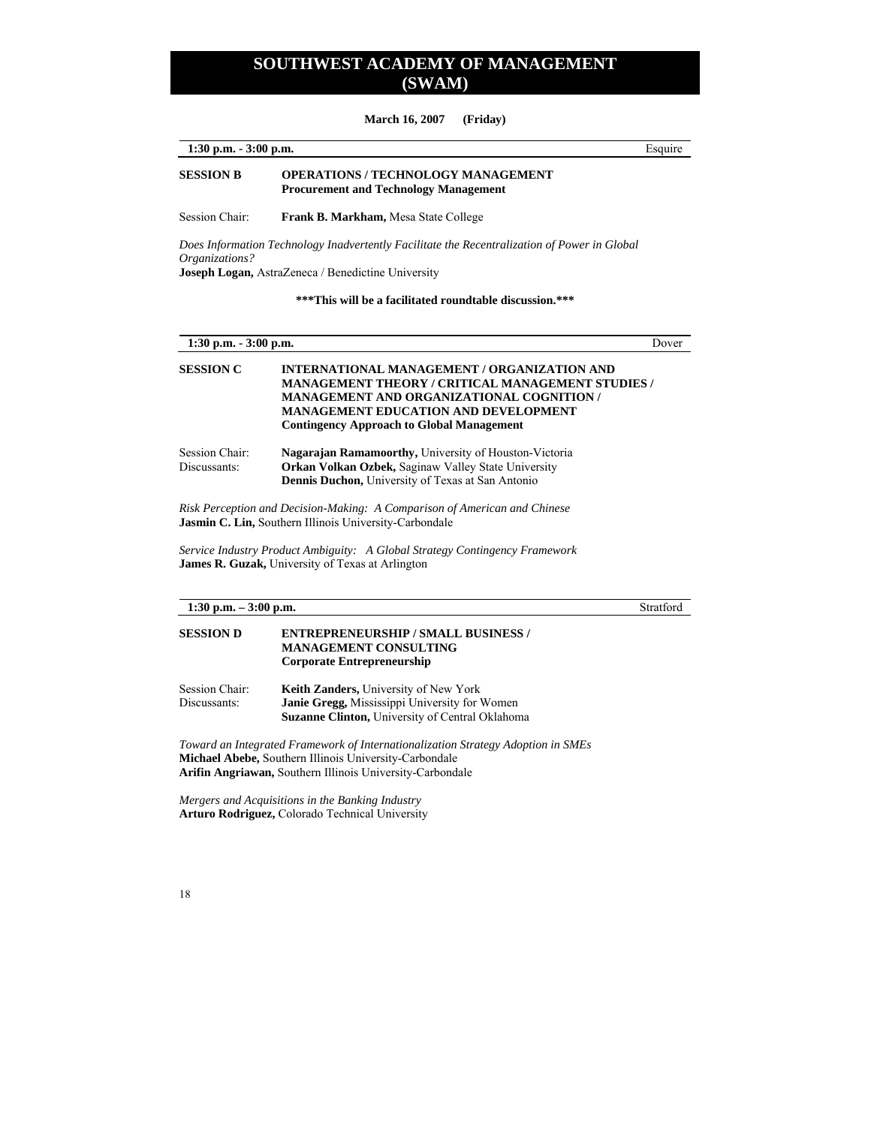**March 16, 2007 (Friday)** 

| $1:30$ p.m. $-3:00$ p.m. |                                                                                           | Esquire |
|--------------------------|-------------------------------------------------------------------------------------------|---------|
| <b>SESSION B</b>         | <b>OPERATIONS / TECHNOLOGY MANAGEMENT</b><br><b>Procurement and Technology Management</b> |         |
| Session Chair:           | <b>Frank B. Markham, Mesa State College</b>                                               |         |
|                          |                                                                                           |         |

*Does Information Technology Inadvertently Facilitate the Recentralization of Power in Global Organizations?*  **Joseph Logan,** AstraZeneca / Benedictine University

**\*\*\*This will be a facilitated roundtable discussion.\*\*\*** 

| $1:30$ p.m. $-3:00$ p.m.       |                                                                                                                                                                                                                                                                | Dover |
|--------------------------------|----------------------------------------------------------------------------------------------------------------------------------------------------------------------------------------------------------------------------------------------------------------|-------|
| <b>SESSION C</b>               | INTERNATIONAL MANAGEMENT / ORGANIZATION AND<br><b>MANAGEMENT THEORY / CRITICAL MANAGEMENT STUDIES /</b><br><b>MANAGEMENT AND ORGANIZATIONAL COGNITION /</b><br><b>MANAGEMENT EDUCATION AND DEVELOPMENT</b><br><b>Contingency Approach to Global Management</b> |       |
| Session Chair:<br>Discussants: | <b>Nagarajan Ramamoorthy, University of Houston-Victoria</b><br><b>Orkan Volkan Ozbek, Saginaw Valley State University</b><br><b>Dennis Duchon, University of Texas at San Antonio</b>                                                                         |       |
|                                | Risk Perception and Decision-Making: A Comparison of American and Chinese                                                                                                                                                                                      |       |

**Jasmin C. Lin,** Southern Illinois University-Carbondale

*Service Industry Product Ambiguity: A Global Strategy Contingency Framework*  **James R. Guzak,** University of Texas at Arlington

### **1:30 p.m. – 3:00 p.m.** Stratford

**SESSION D ENTREPRENEURSHIP / SMALL BUSINESS / MANAGEMENT CONSULTING Corporate Entrepreneurship** 

Session Chair: **Keith Zanders,** University of New York<br>Discussants: **Janie Gregg,** Mississippi University for Your Janie Gregg, Mississippi University for Women **Suzanne Clinton,** University of Central Oklahoma

*Toward an Integrated Framework of Internationalization Strategy Adoption in SMEs*  **Michael Abebe,** Southern Illinois University-Carbondale **Arifin Angriawan,** Southern Illinois University-Carbondale

*Mergers and Acquisitions in the Banking Industry*  **Arturo Rodriguez,** Colorado Technical University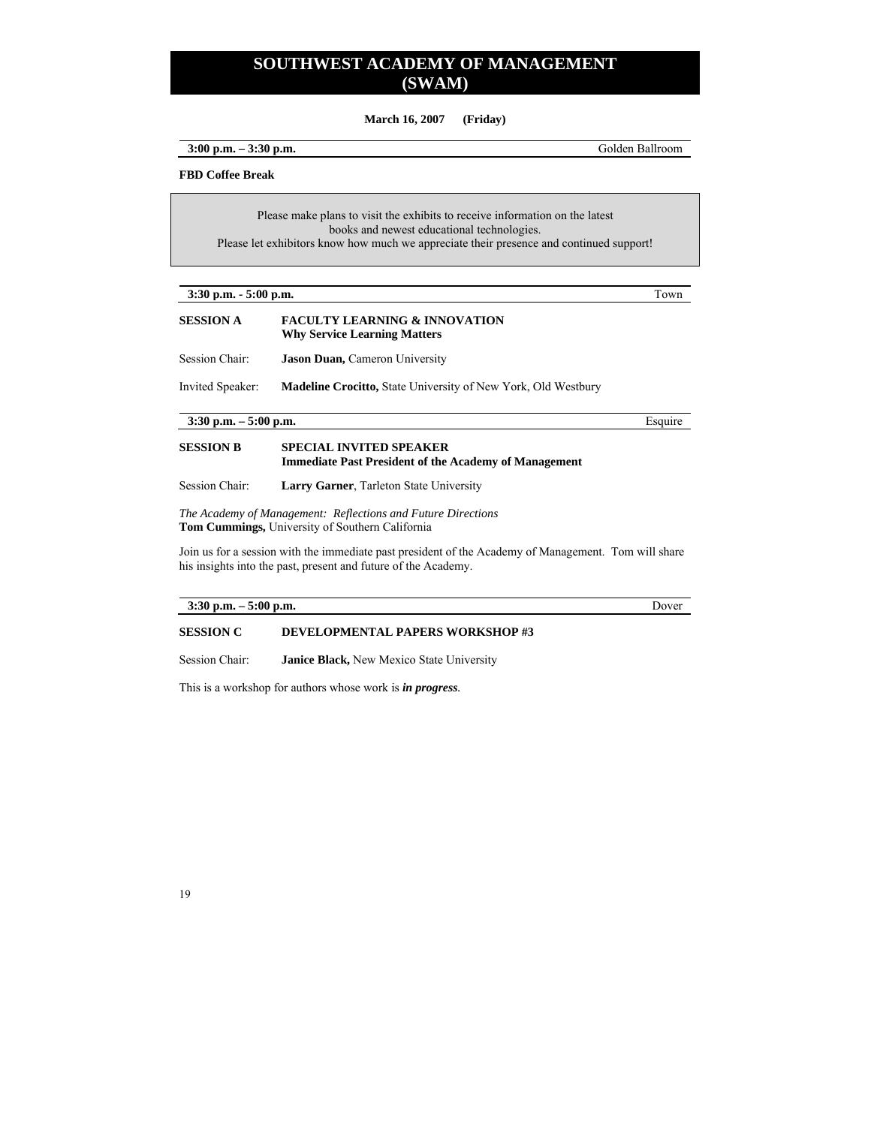**March 16, 2007 (Friday)** 

**3:00 p.m. – 3:30 p.m.** Golden Ballroom

#### **FBD Coffee Break**

Please make plans to visit the exhibits to receive information on the latest books and newest educational technologies. Please let exhibitors know how much we appreciate their presence and continued support!

| $3:30$ p.m. $-5:00$ p.m. | own |
|--------------------------|-----|
|--------------------------|-----|

### **SESSION A FACULTY LEARNING & INNOVATION Why Service Learning Matters**

Session Chair: **Jason Duan,** Cameron University

Invited Speaker: **Madeline Crocitto,** State University of New York, Old Westbury

**3:30 p.m. – 5:00 p.m.** Esquire

### **SESSION B SPECIAL INVITED SPEAKER Immediate Past President of the Academy of Management**

Session Chair: **Larry Garner**, Tarleton State University

*The Academy of Management: Reflections and Future Directions*  **Tom Cummings,** University of Southern California

Join us for a session with the immediate past president of the Academy of Management. Tom will share his insights into the past, present and future of the Academy.

#### **3:30 p.m. – 5:00 p.m.** Dover

### **SESSION C DEVELOPMENTAL PAPERS WORKSHOP #3**

Session Chair: **Janice Black,** New Mexico State University

This is a workshop for authors whose work is *in progress.*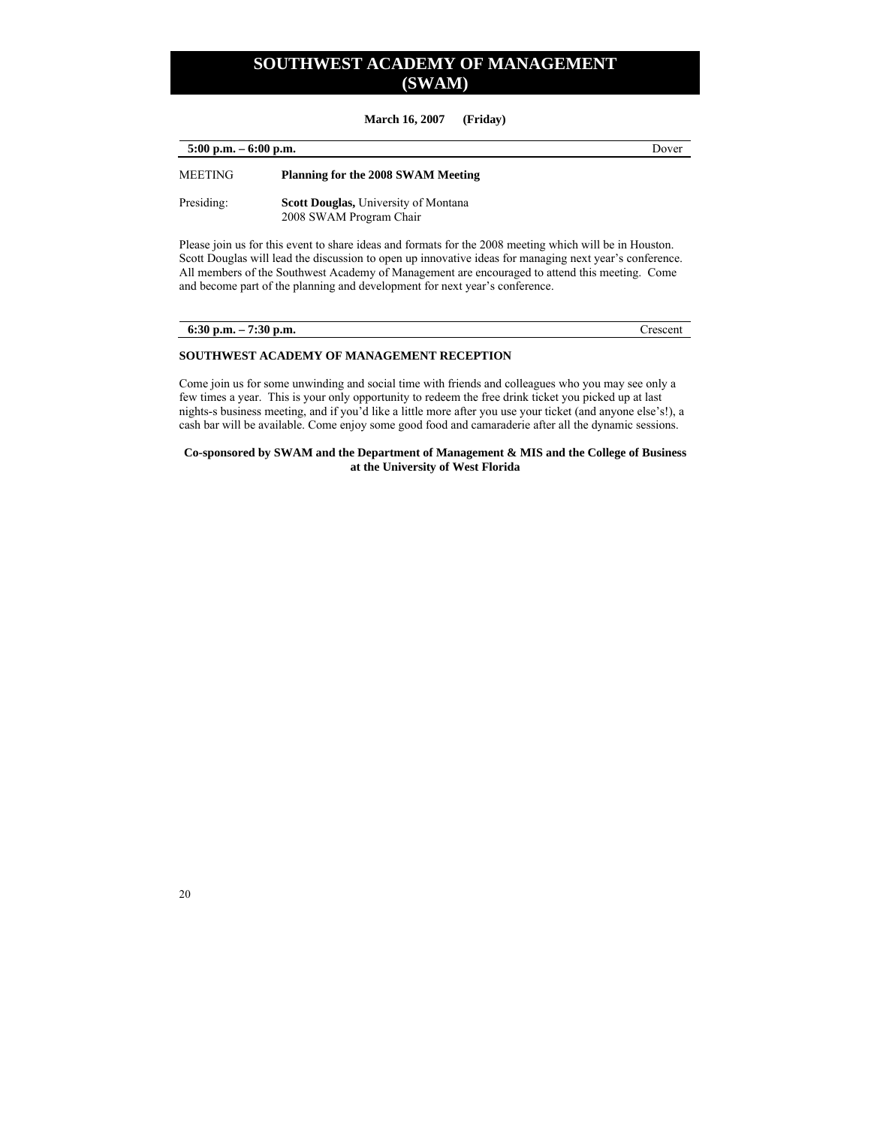**March 16, 2007 (Friday)** 

| $5:00$ p.m. $-6:00$ p.m. |                                                                        | Dover |
|--------------------------|------------------------------------------------------------------------|-------|
| <b>MEETING</b>           | <b>Planning for the 2008 SWAM Meeting</b>                              |       |
| Presiding:               | <b>Scott Douglas, University of Montana</b><br>2008 SWAM Program Chair |       |

Please join us for this event to share ideas and formats for the 2008 meeting which will be in Houston. Scott Douglas will lead the discussion to open up innovative ideas for managing next year's conference. All members of the Southwest Academy of Management are encouraged to attend this meeting. Come and become part of the planning and development for next year's conference.

| 6:30 p.m. $-7:30$ p.m. | Crescent |
|------------------------|----------|

#### **SOUTHWEST ACADEMY OF MANAGEMENT RECEPTION**

Come join us for some unwinding and social time with friends and colleagues who you may see only a few times a year. This is your only opportunity to redeem the free drink ticket you picked up at last nights-s business meeting, and if you'd like a little more after you use your ticket (and anyone else's!), a cash bar will be available. Come enjoy some good food and camaraderie after all the dynamic sessions.

**Co-sponsored by SWAM and the Department of Management & MIS and the College of Business at the University of West Florida**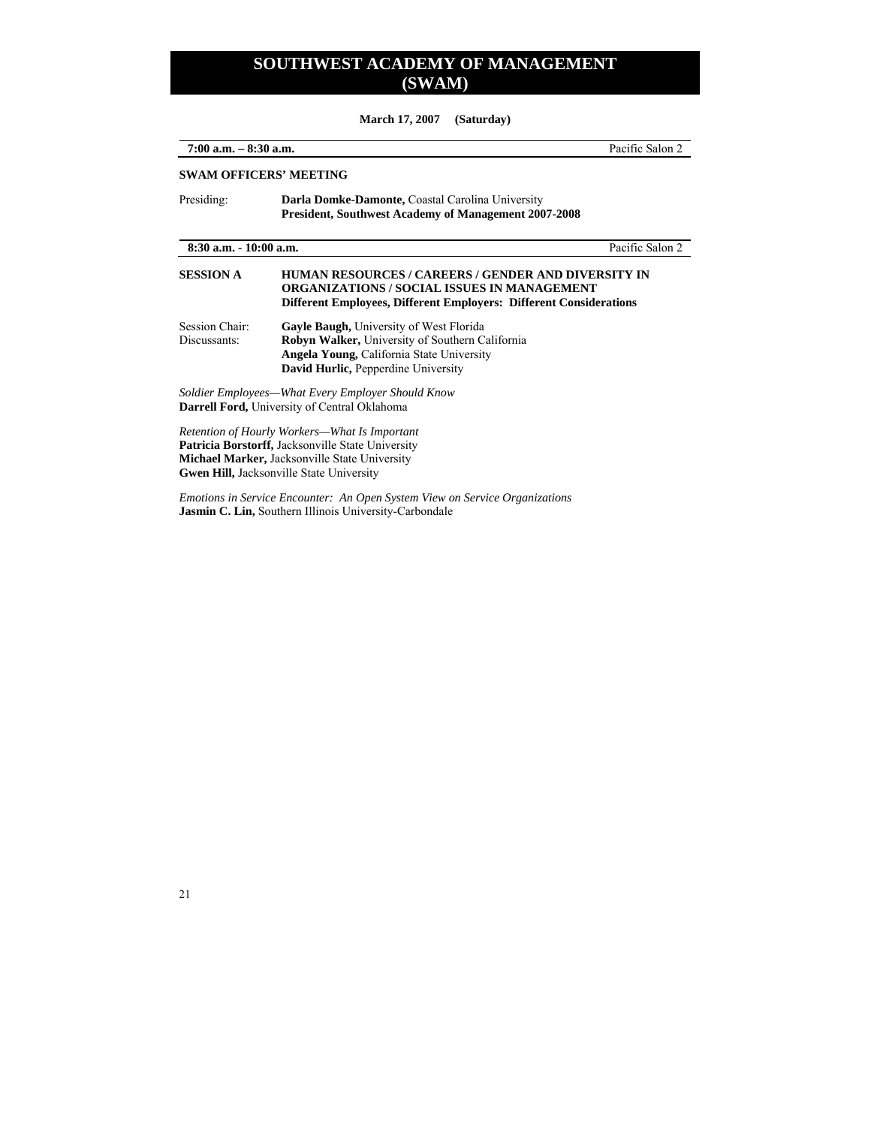**March 17, 2007 (Saturday)** 

| $7:00$ a.m. $-8:30$ a.m.<br>Pacific Salon 2<br><b>SWAM OFFICERS' MEETING</b> |                                                                                                                                                                                                            |                 |                                                                                                                 |
|------------------------------------------------------------------------------|------------------------------------------------------------------------------------------------------------------------------------------------------------------------------------------------------------|-----------------|-----------------------------------------------------------------------------------------------------------------|
|                                                                              |                                                                                                                                                                                                            | Presiding:      | Darla Domke-Damonte, Coastal Carolina University<br><b>President, Southwest Academy of Management 2007-2008</b> |
| $8:30$ a.m. $-10:00$ a.m.                                                    |                                                                                                                                                                                                            | Pacific Salon 2 |                                                                                                                 |
| <b>SESSION A</b>                                                             | HUMAN RESOURCES / CAREERS / GENDER AND DIVERSITY IN<br><b>ORGANIZATIONS / SOCIAL ISSUES IN MANAGEMENT</b><br><b>Different Employees, Different Employers: Different Considerations</b>                     |                 |                                                                                                                 |
| Session Chair:<br>Discussants:                                               | <b>Gayle Baugh, University of West Florida</b><br><b>Robyn Walker, University of Southern California</b><br><b>Angela Young, California State University</b><br><b>David Hurlic, Pepperdine University</b> |                 |                                                                                                                 |
|                                                                              | Soldier Employees—What Every Employer Should Know<br><b>Darrell Ford, University of Central Oklahoma</b>                                                                                                   |                 |                                                                                                                 |
|                                                                              | Retention of Hourly Workers—What Is Important<br><b>Patricia Borstorff, Jacksonville State University</b><br><b>Michael Marker, Jacksonville State University</b>                                          |                 |                                                                                                                 |

**Gwen Hill,** Jacksonville State University

*Emotions in Service Encounter: An Open System View on Service Organizations*  **Jasmin C. Lin,** Southern Illinois University-Carbondale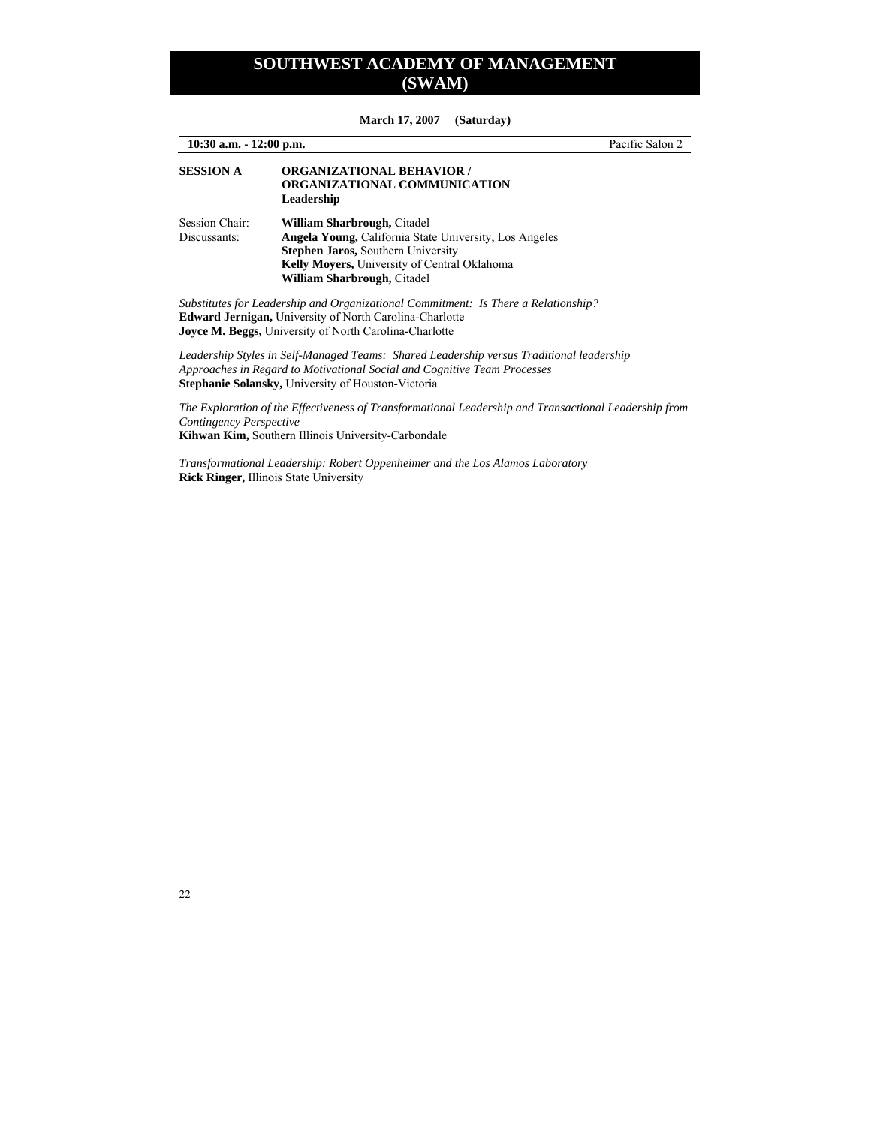| $10:30$ a.m. $-12:00$ p.m.     |                                                                                                                                                                                                                                   | Pacific Salon 2 |
|--------------------------------|-----------------------------------------------------------------------------------------------------------------------------------------------------------------------------------------------------------------------------------|-----------------|
| <b>SESSION A</b>               | <b>ORGANIZATIONAL BEHAVIOR /</b><br>ORGANIZATIONAL COMMUNICATION<br>Leadership                                                                                                                                                    |                 |
| Session Chair:<br>Discussants: | <b>William Sharbrough, Citadel</b><br>Angela Young, California State University, Los Angeles<br><b>Stephen Jaros, Southern University</b><br>Kelly Moyers, University of Central Oklahoma<br>William Sharbrough, Citadel          |                 |
|                                | Substitutes for Leadership and Organizational Commitment: Is There a Relationship?<br><b>Edward Jernigan, University of North Carolina-Charlotte</b><br><b>Joyce M. Beggs, University of North Carolina-Charlotte</b>             |                 |
|                                | Leadership Styles in Self-Managed Teams: Shared Leadership versus Traditional leadership<br>Approaches in Regard to Motivational Social and Cognitive Team Processes<br><b>Stephanie Solansky, University of Houston-Victoria</b> |                 |
| Contingency Perspective        | The Exploration of the Effectiveness of Transformational Leadership and Transactional Leadership from                                                                                                                             |                 |

**March 17, 2007 (Saturday)** 

*Transformational Leadership: Robert Oppenheimer and the Los Alamos Laboratory*  **Rick Ringer,** Illinois State University

**Kihwan Kim,** Southern Illinois University-Carbondale